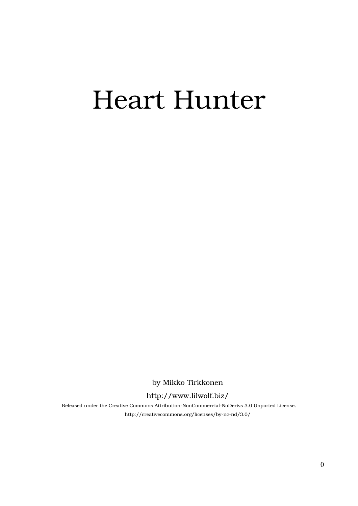# Heart Hunter

by Mikko Tirkkonen

#### http://www.lilwolf.biz/

Released under the Creative Commons Attribution-NonCommercial-NoDerivs 3.0 Unported License. http://creativecommons.org/licenses/by-nc-nd/3.0/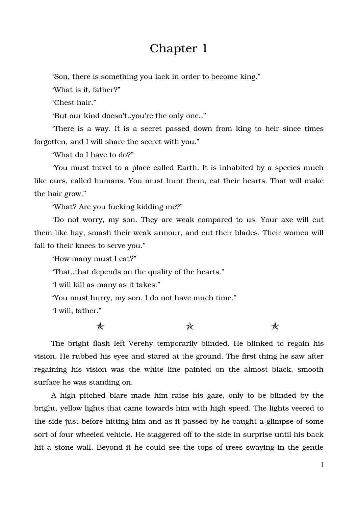## Chapter 1

"Son, there is something you lack in order to become king."

"What is it, father?"

"Chest hair."

"But our kind doesn't..you're the only one.."

"There is a way. It is a secret passed down from king to heir since times forgotten, and I will share the secret with you."

"What do I have to do?"

"You must travel to a place called Earth. It is inhabited by a species much like ours, called humans. You must hunt them, eat their hearts. That will make the hair grow."

"What? Are you fucking kidding me?"

"Do not worry, my son. They are weak compared to us. Your axe will cut them like hay, smash their weak armour, and cut their blades. Their women will fall to their knees to serve you."

"How many must I eat?"

"That..that depends on the quality of the hearts."

"I will kill as many as it takes."

"You must hurry, my son. I do not have much time."

"I will, father."

 $\star$  and  $\star$ 

The bright flash left Verehy temporarily blinded. He blinked to regain his vision. He rubbed his eyes and stared at the ground. The first thing he saw after regaining his vision was the white line painted on the almost black, smooth surface he was standing on.

A high pitched blare made him raise his gaze, only to be blinded by the bright, yellow lights that came towards him with high speed. The lights veered to the side just before hitting him and as it passed by he caught a glimpse of some sort of four wheeled vehicle. He staggered off to the side in surprise until his back hit a stone wall. Beyond it he could see the tops of trees swaying in the gentle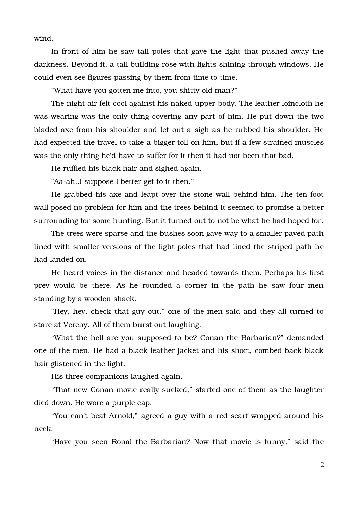wind.

In front of him he saw tall poles that gave the light that pushed away the darkness. Beyond it, a tall building rose with lights shining through windows. He could even see figures passing by them from time to time.

"What have you gotten me into, you shitty old man?"

The night air felt cool against his naked upper body. The leather loincloth he was wearing was the only thing covering any part of him. He put down the two bladed axe from his shoulder and let out a sigh as he rubbed his shoulder. He had expected the travel to take a bigger toll on him, but if a few strained muscles was the only thing he'd have to suffer for it then it had not been that bad.

He ruffled his black hair and sighed again.

"Aa-ah..I suppose I better get to it then."

He grabbed his axe and leapt over the stone wall behind him. The ten foot wall posed no problem for him and the trees behind it seemed to promise a better surrounding for some hunting. But it turned out to not be what he had hoped for.

The trees were sparse and the bushes soon gave way to a smaller paved path lined with smaller versions of the light-poles that had lined the striped path he had landed on.

He heard voices in the distance and headed towards them. Perhaps his first prey would be there. As he rounded a corner in the path he saw four men standing by a wooden shack.

"Hey, hey, check that guy out," one of the men said and they all turned to stare at Verehy. All of them burst out laughing.

"What the hell are you supposed to be? Conan the Barbarian?" demanded one of the men. He had a black leather jacket and his short, combed back black hair glistened in the light.

His three companions laughed again.

"That new Conan movie really sucked," started one of them as the laughter died down. He wore a purple cap.

"You can't beat Arnold," agreed a guy with a red scarf wrapped around his neck.

"Have you seen Ronal the Barbarian? Now that movie is funny," said the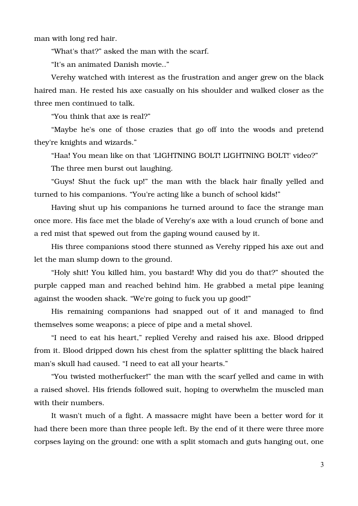man with long red hair.

"What's that?" asked the man with the scarf.

"It's an animated Danish movie.."

Verehy watched with interest as the frustration and anger grew on the black haired man. He rested his axe casually on his shoulder and walked closer as the three men continued to talk.

"You think that axe is real?"

"Maybe he's one of those crazies that go off into the woods and pretend they're knights and wizards."

"Haa! You mean like on that 'LIGHTNING BOLT! LIGHTNING BOLT!' video?" The three men burst out laughing.

"Guys! Shut the fuck up!" the man with the black hair finally yelled and turned to his companions. "You're acting like a bunch of school kids!"

Having shut up his companions he turned around to face the strange man once more. His face met the blade of Verehy's axe with a loud crunch of bone and a red mist that spewed out from the gaping wound caused by it.

His three companions stood there stunned as Verehy ripped his axe out and let the man slump down to the ground.

"Holy shit! You killed him, you bastard! Why did you do that?" shouted the purple capped man and reached behind him. He grabbed a metal pipe leaning against the wooden shack. "We're going to fuck you up good!"

His remaining companions had snapped out of it and managed to find themselves some weapons; a piece of pipe and a metal shovel.

"I need to eat his heart," replied Verehy and raised his axe. Blood dripped from it. Blood dripped down his chest from the splatter splitting the black haired man's skull had caused. "I need to eat all your hearts."

"You twisted motherfucker!" the man with the scarf yelled and came in with a raised shovel. His friends followed suit, hoping to overwhelm the muscled man with their numbers.

It wasn't much of a fight. A massacre might have been a better word for it had there been more than three people left. By the end of it there were three more corpses laying on the ground: one with a split stomach and guts hanging out, one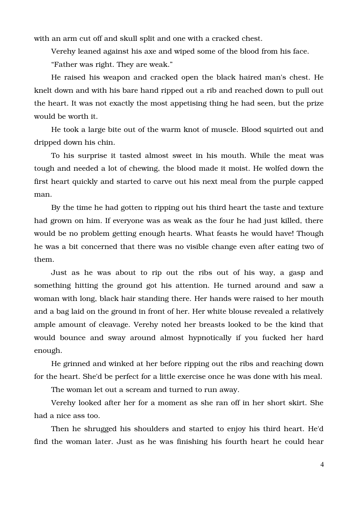with an arm cut off and skull split and one with a cracked chest.

Verehy leaned against his axe and wiped some of the blood from his face.

"Father was right. They are weak."

He raised his weapon and cracked open the black haired man's chest. He knelt down and with his bare hand ripped out a rib and reached down to pull out the heart. It was not exactly the most appetising thing he had seen, but the prize would be worth it.

He took a large bite out of the warm knot of muscle. Blood squirted out and dripped down his chin.

To his surprise it tasted almost sweet in his mouth. While the meat was tough and needed a lot of chewing, the blood made it moist. He wolfed down the first heart quickly and started to carve out his next meal from the purple capped man.

By the time he had gotten to ripping out his third heart the taste and texture had grown on him. If everyone was as weak as the four he had just killed, there would be no problem getting enough hearts. What feasts he would have! Though he was a bit concerned that there was no visible change even after eating two of them.

Just as he was about to rip out the ribs out of his way, a gasp and something hitting the ground got his attention. He turned around and saw a woman with long, black hair standing there. Her hands were raised to her mouth and a bag laid on the ground in front of her. Her white blouse revealed a relatively ample amount of cleavage. Verehy noted her breasts looked to be the kind that would bounce and sway around almost hypnotically if you fucked her hard enough.

He grinned and winked at her before ripping out the ribs and reaching down for the heart. She'd be perfect for a little exercise once he was done with his meal.

The woman let out a scream and turned to run away.

Verehy looked after her for a moment as she ran off in her short skirt. She had a nice ass too.

Then he shrugged his shoulders and started to enjoy his third heart. He'd find the woman later. Just as he was finishing his fourth heart he could hear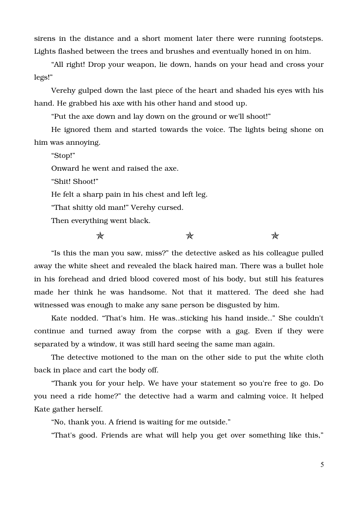sirens in the distance and a short moment later there were running footsteps. Lights flashed between the trees and brushes and eventually honed in on him.

"All right! Drop your weapon, lie down, hands on your head and cross your legs!"

Verehy gulped down the last piece of the heart and shaded his eyes with his hand. He grabbed his axe with his other hand and stood up.

"Put the axe down and lay down on the ground or we'll shoot!"

He ignored them and started towards the voice. The lights being shone on him was annoying.

"Stop!"

Onward he went and raised the axe.

"Shit! Shoot!"

He felt a sharp pain in his chest and left leg.

"That shitty old man!" Verehy cursed.

Then everything went black.

 $\star$  and  $\star$ 

"Is this the man you saw, miss?" the detective asked as his colleague pulled away the white sheet and revealed the black haired man. There was a bullet hole in his forehead and dried blood covered most of his body, but still his features made her think he was handsome. Not that it mattered. The deed she had witnessed was enough to make any sane person be disgusted by him.

Kate nodded. "That's him. He was..sticking his hand inside.." She couldn't continue and turned away from the corpse with a gag. Even if they were separated by a window, it was still hard seeing the same man again.

The detective motioned to the man on the other side to put the white cloth back in place and cart the body off.

"Thank you for your help. We have your statement so you're free to go. Do you need a ride home?" the detective had a warm and calming voice. It helped Kate gather herself.

"No, thank you. A friend is waiting for me outside."

"That's good. Friends are what will help you get over something like this,"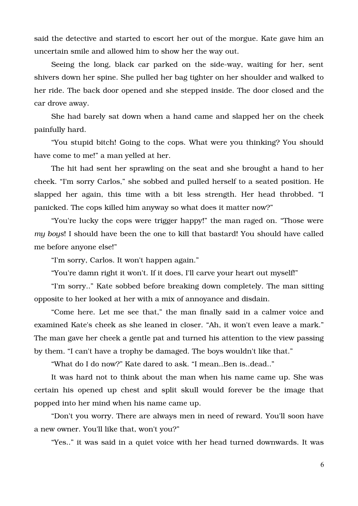said the detective and started to escort her out of the morgue. Kate gave him an uncertain smile and allowed him to show her the way out.

Seeing the long, black car parked on the side-way, waiting for her, sent shivers down her spine. She pulled her bag tighter on her shoulder and walked to her ride. The back door opened and she stepped inside. The door closed and the car drove away.

She had barely sat down when a hand came and slapped her on the cheek painfully hard.

"You stupid bitch! Going to the cops. What were you thinking? You should have come to me!" a man yelled at her.

The hit had sent her sprawling on the seat and she brought a hand to her cheek. "I'm sorry Carlos," she sobbed and pulled herself to a seated position. He slapped her again, this time with a bit less strength. Her head throbbed. "I panicked. The cops killed him anyway so what does it matter now?"

"You're lucky the cops were trigger happy!" the man raged on. "Those were *my boys*! I should have been the one to kill that bastard! You should have called me before anyone else!"

"I'm sorry, Carlos. It won't happen again."

"You're damn right it won't. If it does, I'll carve your heart out myself!"

"I'm sorry.." Kate sobbed before breaking down completely. The man sitting opposite to her looked at her with a mix of annoyance and disdain.

"Come here. Let me see that," the man finally said in a calmer voice and examined Kate's cheek as she leaned in closer. "Ah, it won't even leave a mark." The man gave her cheek a gentle pat and turned his attention to the view passing by them. "I can't have a trophy be damaged. The boys wouldn't like that."

"What do I do now?" Kate dared to ask. "I mean..Ben is..dead.."

It was hard not to think about the man when his name came up. She was certain his opened up chest and split skull would forever be the image that popped into her mind when his name came up.

"Don't you worry. There are always men in need of reward. You'll soon have a new owner. You'll like that, won't you?"

"Yes.." it was said in a quiet voice with her head turned downwards. It was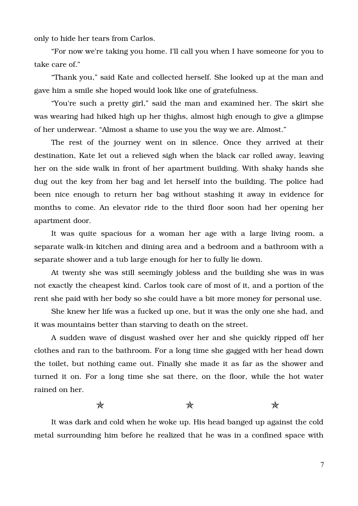only to hide her tears from Carlos.

"For now we're taking you home. I'll call you when I have someone for you to take care of."

"Thank you," said Kate and collected herself. She looked up at the man and gave him a smile she hoped would look like one of gratefulness.

"You're such a pretty girl," said the man and examined her. The skirt she was wearing had hiked high up her thighs, almost high enough to give a glimpse of her underwear. "Almost a shame to use you the way we are. Almost."

The rest of the journey went on in silence. Once they arrived at their destination, Kate let out a relieved sigh when the black car rolled away, leaving her on the side walk in front of her apartment building. With shaky hands she dug out the key from her bag and let herself into the building. The police had been nice enough to return her bag without stashing it away in evidence for months to come. An elevator ride to the third floor soon had her opening her apartment door.

It was quite spacious for a woman her age with a large living room, a separate walk-in kitchen and dining area and a bedroom and a bathroom with a separate shower and a tub large enough for her to fully lie down.

At twenty she was still seemingly jobless and the building she was in was not exactly the cheapest kind. Carlos took care of most of it, and a portion of the rent she paid with her body so she could have a bit more money for personal use.

She knew her life was a fucked up one, but it was the only one she had, and it was mountains better than starving to death on the street.

A sudden wave of disgust washed over her and she quickly ripped off her clothes and ran to the bathroom. For a long time she gagged with her head down the toilet, but nothing came out. Finally she made it as far as the shower and turned it on. For a long time she sat there, on the floor, while the hot water rained on her.

#### $\star$  and  $\star$

It was dark and cold when he woke up. His head banged up against the cold metal surrounding him before he realized that he was in a confined space with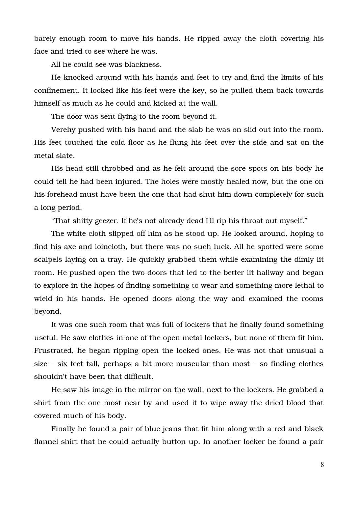barely enough room to move his hands. He ripped away the cloth covering his face and tried to see where he was.

All he could see was blackness.

He knocked around with his hands and feet to try and find the limits of his confinement. It looked like his feet were the key, so he pulled them back towards himself as much as he could and kicked at the wall.

The door was sent flying to the room beyond it.

Verehy pushed with his hand and the slab he was on slid out into the room. His feet touched the cold floor as he flung his feet over the side and sat on the metal slate.

His head still throbbed and as he felt around the sore spots on his body he could tell he had been injured. The holes were mostly healed now, but the one on his forehead must have been the one that had shut him down completely for such a long period.

"That shitty geezer. If he's not already dead I'll rip his throat out myself."

The white cloth slipped off him as he stood up. He looked around, hoping to find his axe and loincloth, but there was no such luck. All he spotted were some scalpels laying on a tray. He quickly grabbed them while examining the dimly lit room. He pushed open the two doors that led to the better lit hallway and began to explore in the hopes of finding something to wear and something more lethal to wield in his hands. He opened doors along the way and examined the rooms beyond.

It was one such room that was full of lockers that he finally found something useful. He saw clothes in one of the open metal lockers, but none of them fit him. Frustrated, he began ripping open the locked ones. He was not that unusual a size – six feet tall, perhaps a bit more muscular than most – so finding clothes shouldn't have been that difficult.

He saw his image in the mirror on the wall, next to the lockers. He grabbed a shirt from the one most near by and used it to wipe away the dried blood that covered much of his body.

Finally he found a pair of blue jeans that fit him along with a red and black flannel shirt that he could actually button up. In another locker he found a pair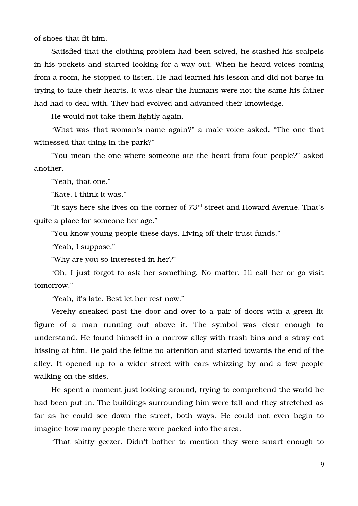of shoes that fit him.

Satisfied that the clothing problem had been solved, he stashed his scalpels in his pockets and started looking for a way out. When he heard voices coming from a room, he stopped to listen. He had learned his lesson and did not barge in trying to take their hearts. It was clear the humans were not the same his father had had to deal with. They had evolved and advanced their knowledge.

He would not take them lightly again.

"What was that woman's name again?" a male voice asked. "The one that witnessed that thing in the park?"

"You mean the one where someone ate the heart from four people?" asked another.

"Yeah, that one."

"Kate, I think it was."

"It says here she lives on the corner of  $73<sup>rd</sup>$  street and Howard Avenue. That's quite a place for someone her age."

"You know young people these days. Living off their trust funds."

"Yeah, I suppose."

"Why are you so interested in her?"

"Oh, I just forgot to ask her something. No matter. I'll call her or go visit tomorrow."

"Yeah, it's late. Best let her rest now."

Verehy sneaked past the door and over to a pair of doors with a green lit figure of a man running out above it. The symbol was clear enough to understand. He found himself in a narrow alley with trash bins and a stray cat hissing at him. He paid the feline no attention and started towards the end of the alley. It opened up to a wider street with cars whizzing by and a few people walking on the sides.

He spent a moment just looking around, trying to comprehend the world he had been put in. The buildings surrounding him were tall and they stretched as far as he could see down the street, both ways. He could not even begin to imagine how many people there were packed into the area.

"That shitty geezer. Didn't bother to mention they were smart enough to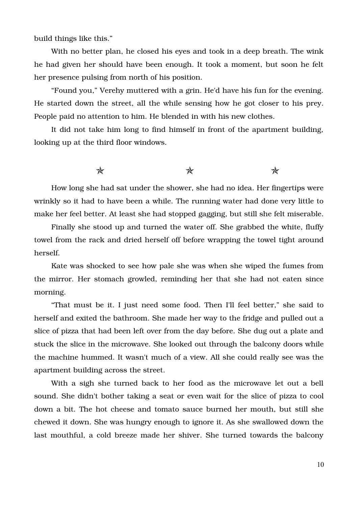build things like this."

With no better plan, he closed his eyes and took in a deep breath. The wink he had given her should have been enough. It took a moment, but soon he felt her presence pulsing from north of his position.

"Found you," Verehy muttered with a grin. He'd have his fun for the evening. He started down the street, all the while sensing how he got closer to his prey. People paid no attention to him. He blended in with his new clothes.

It did not take him long to find himself in front of the apartment building, looking up at the third floor windows.

#### $\star$  and  $\star$

How long she had sat under the shower, she had no idea. Her fingertips were wrinkly so it had to have been a while. The running water had done very little to make her feel better. At least she had stopped gagging, but still she felt miserable.

Finally she stood up and turned the water off. She grabbed the white, fluffy towel from the rack and dried herself off before wrapping the towel tight around herself.

Kate was shocked to see how pale she was when she wiped the fumes from the mirror. Her stomach growled, reminding her that she had not eaten since morning.

"That must be it. I just need some food. Then I'll feel better," she said to herself and exited the bathroom. She made her way to the fridge and pulled out a slice of pizza that had been left over from the day before. She dug out a plate and stuck the slice in the microwave. She looked out through the balcony doors while the machine hummed. It wasn't much of a view. All she could really see was the apartment building across the street.

With a sigh she turned back to her food as the microwave let out a bell sound. She didn't bother taking a seat or even wait for the slice of pizza to cool down a bit. The hot cheese and tomato sauce burned her mouth, but still she chewed it down. She was hungry enough to ignore it. As she swallowed down the last mouthful, a cold breeze made her shiver. She turned towards the balcony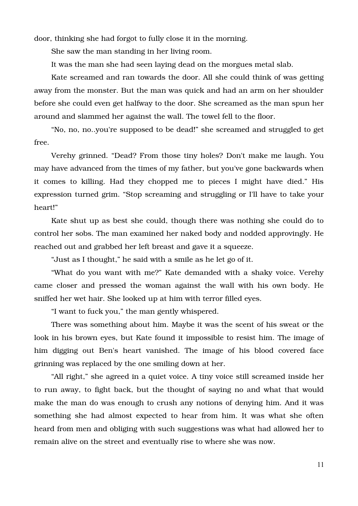door, thinking she had forgot to fully close it in the morning.

She saw the man standing in her living room.

It was the man she had seen laying dead on the morgues metal slab.

Kate screamed and ran towards the door. All she could think of was getting away from the monster. But the man was quick and had an arm on her shoulder before she could even get halfway to the door. She screamed as the man spun her around and slammed her against the wall. The towel fell to the floor.

"No, no, no..you're supposed to be dead!" she screamed and struggled to get free.

Verehy grinned. "Dead? From those tiny holes? Don't make me laugh. You may have advanced from the times of my father, but you've gone backwards when it comes to killing. Had they chopped me to pieces I might have died." His expression turned grim. "Stop screaming and struggling or I'll have to take your heart!"

Kate shut up as best she could, though there was nothing she could do to control her sobs. The man examined her naked body and nodded approvingly. He reached out and grabbed her left breast and gave it a squeeze.

"Just as I thought," he said with a smile as he let go of it.

"What do you want with me?" Kate demanded with a shaky voice. Verehy came closer and pressed the woman against the wall with his own body. He sniffed her wet hair. She looked up at him with terror filled eyes.

"I want to fuck you," the man gently whispered.

There was something about him. Maybe it was the scent of his sweat or the look in his brown eyes, but Kate found it impossible to resist him. The image of him digging out Ben's heart vanished. The image of his blood covered face grinning was replaced by the one smiling down at her.

"All right," she agreed in a quiet voice. A tiny voice still screamed inside her to run away, to fight back, but the thought of saying no and what that would make the man do was enough to crush any notions of denying him. And it was something she had almost expected to hear from him. It was what she often heard from men and obliging with such suggestions was what had allowed her to remain alive on the street and eventually rise to where she was now.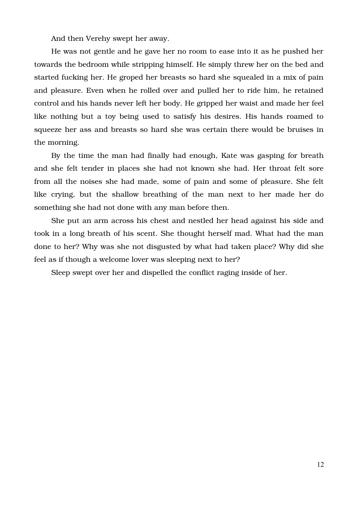And then Verehy swept her away.

He was not gentle and he gave her no room to ease into it as he pushed her towards the bedroom while stripping himself. He simply threw her on the bed and started fucking her. He groped her breasts so hard she squealed in a mix of pain and pleasure. Even when he rolled over and pulled her to ride him, he retained control and his hands never left her body. He gripped her waist and made her feel like nothing but a toy being used to satisfy his desires. His hands roamed to squeeze her ass and breasts so hard she was certain there would be bruises in the morning.

By the time the man had finally had enough, Kate was gasping for breath and she felt tender in places she had not known she had. Her throat felt sore from all the noises she had made, some of pain and some of pleasure. She felt like crying, but the shallow breathing of the man next to her made her do something she had not done with any man before then.

She put an arm across his chest and nestled her head against his side and took in a long breath of his scent. She thought herself mad. What had the man done to her? Why was she not disgusted by what had taken place? Why did she feel as if though a welcome lover was sleeping next to her?

Sleep swept over her and dispelled the conflict raging inside of her.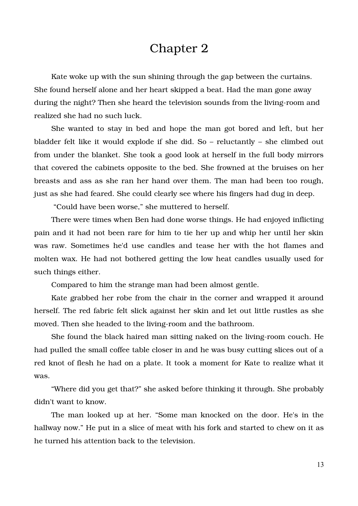#### Chapter 2

Kate woke up with the sun shining through the gap between the curtains. She found herself alone and her heart skipped a beat. Had the man gone away during the night? Then she heard the television sounds from the living-room and realized she had no such luck.

She wanted to stay in bed and hope the man got bored and left, but her bladder felt like it would explode if she did. So – reluctantly – she climbed out from under the blanket. She took a good look at herself in the full body mirrors that covered the cabinets opposite to the bed. She frowned at the bruises on her breasts and ass as she ran her hand over them. The man had been too rough, just as she had feared. She could clearly see where his fingers had dug in deep.

"Could have been worse," she muttered to herself.

There were times when Ben had done worse things. He had enjoyed inflicting pain and it had not been rare for him to tie her up and whip her until her skin was raw. Sometimes he'd use candles and tease her with the hot flames and molten wax. He had not bothered getting the low heat candles usually used for such things either.

Compared to him the strange man had been almost gentle.

Kate grabbed her robe from the chair in the corner and wrapped it around herself. The red fabric felt slick against her skin and let out little rustles as she moved. Then she headed to the living-room and the bathroom.

She found the black haired man sitting naked on the living-room couch. He had pulled the small coffee table closer in and he was busy cutting slices out of a red knot of flesh he had on a plate. It took a moment for Kate to realize what it was.

"Where did you get that?" she asked before thinking it through. She probably didn't want to know.

The man looked up at her. "Some man knocked on the door. He's in the hallway now." He put in a slice of meat with his fork and started to chew on it as he turned his attention back to the television.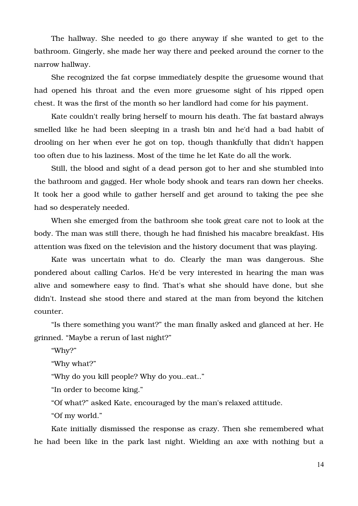The hallway. She needed to go there anyway if she wanted to get to the bathroom. Gingerly, she made her way there and peeked around the corner to the narrow hallway.

She recognized the fat corpse immediately despite the gruesome wound that had opened his throat and the even more gruesome sight of his ripped open chest. It was the first of the month so her landlord had come for his payment.

Kate couldn't really bring herself to mourn his death. The fat bastard always smelled like he had been sleeping in a trash bin and he'd had a bad habit of drooling on her when ever he got on top, though thankfully that didn't happen too often due to his laziness. Most of the time he let Kate do all the work.

Still, the blood and sight of a dead person got to her and she stumbled into the bathroom and gagged. Her whole body shook and tears ran down her cheeks. It took her a good while to gather herself and get around to taking the pee she had so desperately needed.

When she emerged from the bathroom she took great care not to look at the body. The man was still there, though he had finished his macabre breakfast. His attention was fixed on the television and the history document that was playing.

Kate was uncertain what to do. Clearly the man was dangerous. She pondered about calling Carlos. He'd be very interested in hearing the man was alive and somewhere easy to find. That's what she should have done, but she didn't. Instead she stood there and stared at the man from beyond the kitchen counter.

"Is there something you want?" the man finally asked and glanced at her. He grinned. "Maybe a rerun of last night?"

"Why?"

"Why what?"

"Why do you kill people? Why do you..eat.."

"In order to become king."

"Of what?" asked Kate, encouraged by the man's relaxed attitude.

"Of my world."

Kate initially dismissed the response as crazy. Then she remembered what he had been like in the park last night. Wielding an axe with nothing but a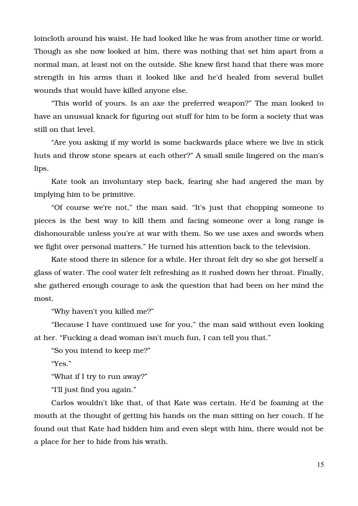loincloth around his waist. He had looked like he was from another time or world. Though as she now looked at him, there was nothing that set him apart from a normal man, at least not on the outside. She knew first hand that there was more strength in his arms than it looked like and he'd healed from several bullet wounds that would have killed anyone else.

"This world of yours. Is an axe the preferred weapon?" The man looked to have an unusual knack for figuring out stuff for him to be form a society that was still on that level.

"Are you asking if my world is some backwards place where we live in stick huts and throw stone spears at each other?" A small smile lingered on the man's lips.

Kate took an involuntary step back, fearing she had angered the man by implying him to be primitive.

"Of course we're not," the man said. "It's just that chopping someone to pieces is the best way to kill them and facing someone over a long range is dishonourable unless you're at war with them. So we use axes and swords when we fight over personal matters." He turned his attention back to the television.

Kate stood there in silence for a while. Her throat felt dry so she got herself a glass of water. The cool water felt refreshing as it rushed down her throat. Finally, she gathered enough courage to ask the question that had been on her mind the most.

"Why haven't you killed me?"

"Because I have continued use for you," the man said without even looking at her. "Fucking a dead woman isn't much fun, I can tell you that."

"So you intend to keep me?"

"Yes."

"What if I try to run away?"

"I'll just find you again."

Carlos wouldn't like that, of that Kate was certain. He'd be foaming at the mouth at the thought of getting his hands on the man sitting on her couch. If he found out that Kate had hidden him and even slept with him, there would not be a place for her to hide from his wrath.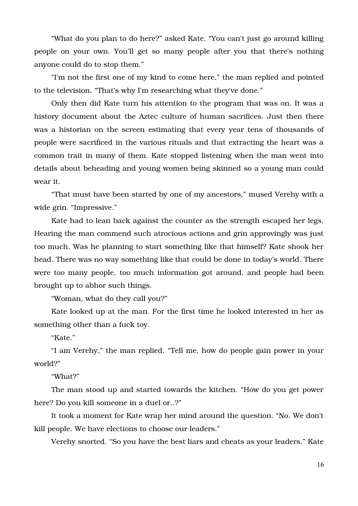"What do you plan to do here?" asked Kate. "You can't just go around killing people on your own. You'll get so many people after you that there's nothing anyone could do to stop them."

"I'm not the first one of my kind to come here," the man replied and pointed to the television. "That's why I'm researching what they've done."

Only then did Kate turn his attention to the program that was on. It was a history document about the Aztec culture of human sacrifices. Just then there was a historian on the screen estimating that every year tens of thousands of people were sacrificed in the various rituals and that extracting the heart was a common trait in many of them. Kate stopped listening when the man went into details about beheading and young women being skinned so a young man could wear it.

"That must have been started by one of my ancestors," mused Verehy with a wide grin. "Impressive."

Kate had to lean back against the counter as the strength escaped her legs. Hearing the man commend such atrocious actions and grin approvingly was just too much. Was he planning to start something like that himself? Kate shook her head. There was no way something like that could be done in today's world. There were too many people, too much information got around, and people had been brought up to abhor such things.

"Woman, what do they call you?"

Kate looked up at the man. For the first time he looked interested in her as something other than a fuck toy.

"Kate."

"I am Verehy," the man replied. "Tell me, how do people gain power in your world?"

"What?"

The man stood up and started towards the kitchen. "How do you get power here? Do you kill someone in a duel or..?"

It took a moment for Kate wrap her mind around the question. "No. We don't kill people. We have elections to choose our leaders."

Verehy snorted. "So you have the best liars and cheats as your leaders." Kate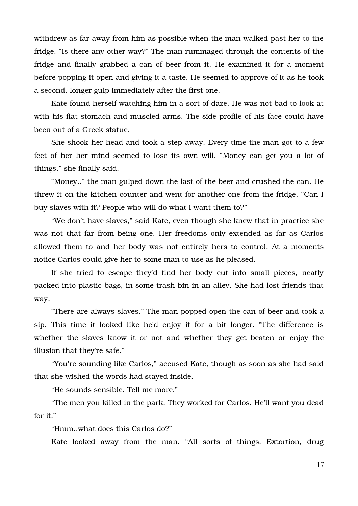withdrew as far away from him as possible when the man walked past her to the fridge. "Is there any other way?" The man rummaged through the contents of the fridge and finally grabbed a can of beer from it. He examined it for a moment before popping it open and giving it a taste. He seemed to approve of it as he took a second, longer gulp immediately after the first one.

Kate found herself watching him in a sort of daze. He was not bad to look at with his flat stomach and muscled arms. The side profile of his face could have been out of a Greek statue.

She shook her head and took a step away. Every time the man got to a few feet of her her mind seemed to lose its own will. "Money can get you a lot of things," she finally said.

"Money.." the man gulped down the last of the beer and crushed the can. He threw it on the kitchen counter and went for another one from the fridge. "Can I buy slaves with it? People who will do what I want them to?"

"We don't have slaves," said Kate, even though she knew that in practice she was not that far from being one. Her freedoms only extended as far as Carlos allowed them to and her body was not entirely hers to control. At a moments notice Carlos could give her to some man to use as he pleased.

If she tried to escape they'd find her body cut into small pieces, neatly packed into plastic bags, in some trash bin in an alley. She had lost friends that way.

"There are always slaves." The man popped open the can of beer and took a sip. This time it looked like he'd enjoy it for a bit longer. "The difference is whether the slaves know it or not and whether they get beaten or enjoy the illusion that they're safe."

"You're sounding like Carlos," accused Kate, though as soon as she had said that she wished the words had stayed inside.

"He sounds sensible. Tell me more."

"The men you killed in the park. They worked for Carlos. He'll want you dead for it."

"Hmm..what does this Carlos do?"

Kate looked away from the man. "All sorts of things. Extortion, drug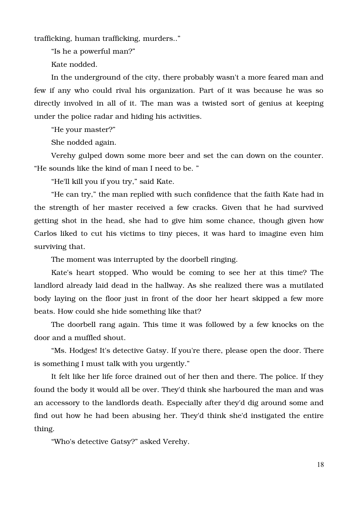trafficking, human trafficking, murders.."

"Is he a powerful man?"

Kate nodded.

In the underground of the city, there probably wasn't a more feared man and few if any who could rival his organization. Part of it was because he was so directly involved in all of it. The man was a twisted sort of genius at keeping under the police radar and hiding his activities.

"He your master?"

She nodded again.

Verehy gulped down some more beer and set the can down on the counter. "He sounds like the kind of man I need to be. "

"He'll kill you if you try," said Kate.

"He can try," the man replied with such confidence that the faith Kate had in the strength of her master received a few cracks. Given that he had survived getting shot in the head, she had to give him some chance, though given how Carlos liked to cut his victims to tiny pieces, it was hard to imagine even him surviving that.

The moment was interrupted by the doorbell ringing.

Kate's heart stopped. Who would be coming to see her at this time? The landlord already laid dead in the hallway. As she realized there was a mutilated body laying on the floor just in front of the door her heart skipped a few more beats. How could she hide something like that?

The doorbell rang again. This time it was followed by a few knocks on the door and a muffled shout.

"Ms. Hodges! It's detective Gatsy. If you're there, please open the door. There is something I must talk with you urgently."

It felt like her life force drained out of her then and there. The police. If they found the body it would all be over. They'd think she harboured the man and was an accessory to the landlords death. Especially after they'd dig around some and find out how he had been abusing her. They'd think she'd instigated the entire thing.

"Who's detective Gatsy?" asked Verehy.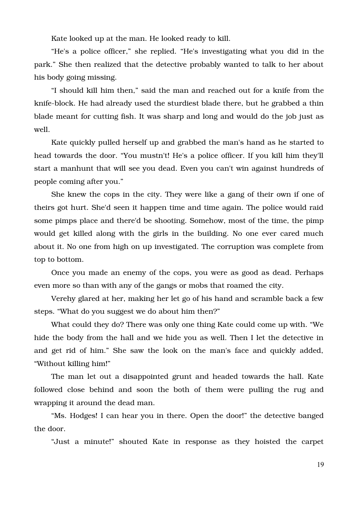Kate looked up at the man. He looked ready to kill.

"He's a police officer," she replied. "He's investigating what you did in the park." She then realized that the detective probably wanted to talk to her about his body going missing.

"I should kill him then," said the man and reached out for a knife from the knife-block. He had already used the sturdiest blade there, but he grabbed a thin blade meant for cutting fish. It was sharp and long and would do the job just as well.

Kate quickly pulled herself up and grabbed the man's hand as he started to head towards the door. "You mustn't! He's a police officer. If you kill him they'll start a manhunt that will see you dead. Even you can't win against hundreds of people coming after you."

She knew the cops in the city. They were like a gang of their own if one of theirs got hurt. She'd seen it happen time and time again. The police would raid some pimps place and there'd be shooting. Somehow, most of the time, the pimp would get killed along with the girls in the building. No one ever cared much about it. No one from high on up investigated. The corruption was complete from top to bottom.

Once you made an enemy of the cops, you were as good as dead. Perhaps even more so than with any of the gangs or mobs that roamed the city.

Verehy glared at her, making her let go of his hand and scramble back a few steps. "What do you suggest we do about him then?"

What could they do? There was only one thing Kate could come up with. "We hide the body from the hall and we hide you as well. Then I let the detective in and get rid of him." She saw the look on the man's face and quickly added, "Without killing him!"

The man let out a disappointed grunt and headed towards the hall. Kate followed close behind and soon the both of them were pulling the rug and wrapping it around the dead man.

"Ms. Hodges! I can hear you in there. Open the door!" the detective banged the door.

"Just a minute!" shouted Kate in response as they hoisted the carpet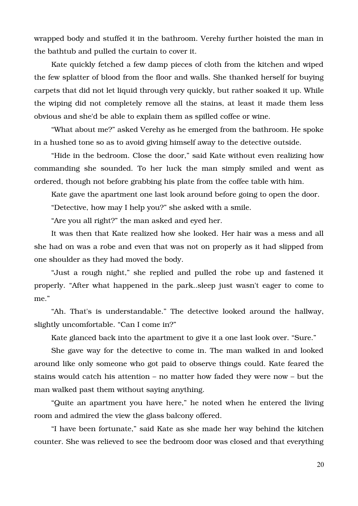wrapped body and stuffed it in the bathroom. Verehy further hoisted the man in the bathtub and pulled the curtain to cover it.

Kate quickly fetched a few damp pieces of cloth from the kitchen and wiped the few splatter of blood from the floor and walls. She thanked herself for buying carpets that did not let liquid through very quickly, but rather soaked it up. While the wiping did not completely remove all the stains, at least it made them less obvious and she'd be able to explain them as spilled coffee or wine.

"What about me?" asked Verehy as he emerged from the bathroom. He spoke in a hushed tone so as to avoid giving himself away to the detective outside.

"Hide in the bedroom. Close the door," said Kate without even realizing how commanding she sounded. To her luck the man simply smiled and went as ordered, though not before grabbing his plate from the coffee table with him.

Kate gave the apartment one last look around before going to open the door.

"Detective, how may I help you?" she asked with a smile.

"Are you all right?" the man asked and eyed her.

It was then that Kate realized how she looked. Her hair was a mess and all she had on was a robe and even that was not on properly as it had slipped from one shoulder as they had moved the body.

"Just a rough night," she replied and pulled the robe up and fastened it properly. "After what happened in the park..sleep just wasn't eager to come to me."

"Ah. That's is understandable." The detective looked around the hallway, slightly uncomfortable. "Can I come in?"

Kate glanced back into the apartment to give it a one last look over. "Sure."

She gave way for the detective to come in. The man walked in and looked around like only someone who got paid to observe things could. Kate feared the stains would catch his attention – no matter how faded they were now – but the man walked past them without saying anything.

"Quite an apartment you have here," he noted when he entered the living room and admired the view the glass balcony offered.

"I have been fortunate," said Kate as she made her way behind the kitchen counter. She was relieved to see the bedroom door was closed and that everything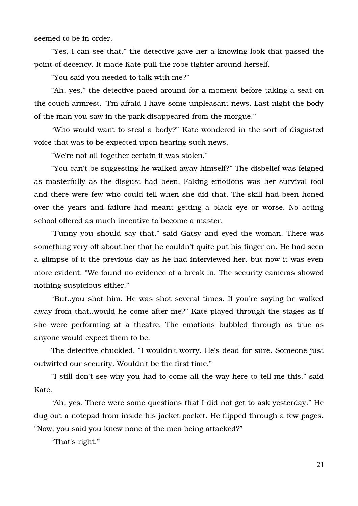seemed to be in order.

"Yes, I can see that," the detective gave her a knowing look that passed the point of decency. It made Kate pull the robe tighter around herself.

"You said you needed to talk with me?"

"Ah, yes," the detective paced around for a moment before taking a seat on the couch armrest. "I'm afraid I have some unpleasant news. Last night the body of the man you saw in the park disappeared from the morgue."

"Who would want to steal a body?" Kate wondered in the sort of disgusted voice that was to be expected upon hearing such news.

"We're not all together certain it was stolen."

"You can't be suggesting he walked away himself?" The disbelief was feigned as masterfully as the disgust had been. Faking emotions was her survival tool and there were few who could tell when she did that. The skill had been honed over the years and failure had meant getting a black eye or worse. No acting school offered as much incentive to become a master.

"Funny you should say that," said Gatsy and eyed the woman. There was something very off about her that he couldn't quite put his finger on. He had seen a glimpse of it the previous day as he had interviewed her, but now it was even more evident. "We found no evidence of a break in. The security cameras showed nothing suspicious either."

"But..you shot him. He was shot several times. If you're saying he walked away from that..would he come after me?" Kate played through the stages as if she were performing at a theatre. The emotions bubbled through as true as anyone would expect them to be.

The detective chuckled. "I wouldn't worry. He's dead for sure. Someone just outwitted our security. Wouldn't be the first time."

"I still don't see why you had to come all the way here to tell me this," said Kate.

"Ah, yes. There were some questions that I did not get to ask yesterday." He dug out a notepad from inside his jacket pocket. He flipped through a few pages. "Now, you said you knew none of the men being attacked?"

"That's right."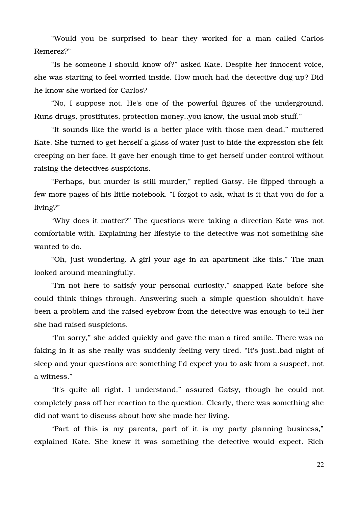"Would you be surprised to hear they worked for a man called Carlos Remerez?"

"Is he someone I should know of?" asked Kate. Despite her innocent voice, she was starting to feel worried inside. How much had the detective dug up? Did he know she worked for Carlos?

"No, I suppose not. He's one of the powerful figures of the underground. Runs drugs, prostitutes, protection money..you know, the usual mob stuff."

"It sounds like the world is a better place with those men dead," muttered Kate. She turned to get herself a glass of water just to hide the expression she felt creeping on her face. It gave her enough time to get herself under control without raising the detectives suspicions.

"Perhaps, but murder is still murder," replied Gatsy. He flipped through a few more pages of his little notebook. "I forgot to ask, what is it that you do for a living?"

"Why does it matter?" The questions were taking a direction Kate was not comfortable with. Explaining her lifestyle to the detective was not something she wanted to do.

"Oh, just wondering. A girl your age in an apartment like this." The man looked around meaningfully.

"I'm not here to satisfy your personal curiosity," snapped Kate before she could think things through. Answering such a simple question shouldn't have been a problem and the raised eyebrow from the detective was enough to tell her she had raised suspicions.

"I'm sorry," she added quickly and gave the man a tired smile. There was no faking in it as she really was suddenly feeling very tired. "It's just..bad night of sleep and your questions are something I'd expect you to ask from a suspect, not a witness."

"It's quite all right. I understand," assured Gatsy, though he could not completely pass off her reaction to the question. Clearly, there was something she did not want to discuss about how she made her living.

"Part of this is my parents, part of it is my party planning business," explained Kate. She knew it was something the detective would expect. Rich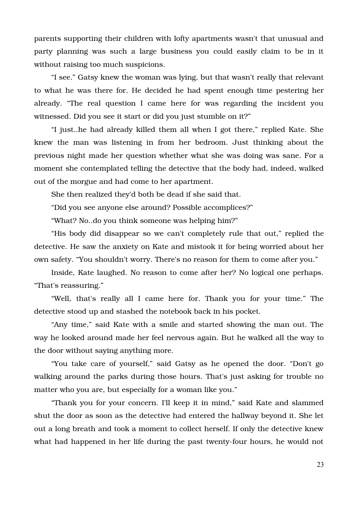parents supporting their children with lofty apartments wasn't that unusual and party planning was such a large business you could easily claim to be in it without raising too much suspicions.

"I see." Gatsy knew the woman was lying, but that wasn't really that relevant to what he was there for. He decided he had spent enough time pestering her already. "The real question I came here for was regarding the incident you witnessed. Did you see it start or did you just stumble on it?"

"I just..he had already killed them all when I got there," replied Kate. She knew the man was listening in from her bedroom. Just thinking about the previous night made her question whether what she was doing was sane. For a moment she contemplated telling the detective that the body had, indeed, walked out of the morgue and had come to her apartment.

She then realized they'd both be dead if she said that.

"Did you see anyone else around? Possible accomplices?"

"What? No..do you think someone was helping him?"

"His body did disappear so we can't completely rule that out," replied the detective. He saw the anxiety on Kate and mistook it for being worried about her own safety. "You shouldn't worry. There's no reason for them to come after you."

Inside, Kate laughed. No reason to come after her? No logical one perhaps. "That's reassuring."

"Well, that's really all I came here for. Thank you for your time." The detective stood up and stashed the notebook back in his pocket.

"Any time," said Kate with a smile and started showing the man out. The way he looked around made her feel nervous again. But he walked all the way to the door without saying anything more.

"You take care of yourself," said Gatsy as he opened the door. "Don't go walking around the parks during those hours. That's just asking for trouble no matter who you are, but especially for a woman like you."

"Thank you for your concern. I'll keep it in mind," said Kate and slammed shut the door as soon as the detective had entered the hallway beyond it. She let out a long breath and took a moment to collect herself. If only the detective knew what had happened in her life during the past twenty-four hours, he would not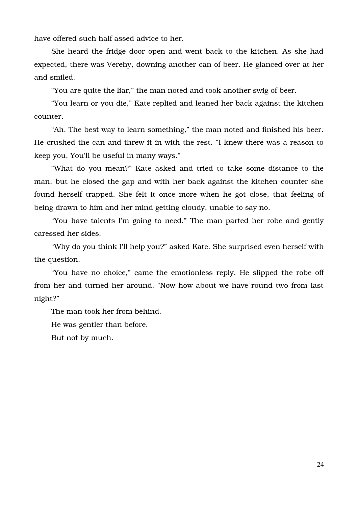have offered such half assed advice to her.

She heard the fridge door open and went back to the kitchen. As she had expected, there was Verehy, downing another can of beer. He glanced over at her and smiled.

"You are quite the liar," the man noted and took another swig of beer.

"You learn or you die," Kate replied and leaned her back against the kitchen counter.

"Ah. The best way to learn something," the man noted and finished his beer. He crushed the can and threw it in with the rest. "I knew there was a reason to keep you. You'll be useful in many ways."

"What do you mean?" Kate asked and tried to take some distance to the man, but he closed the gap and with her back against the kitchen counter she found herself trapped. She felt it once more when he got close, that feeling of being drawn to him and her mind getting cloudy, unable to say no.

"You have talents I'm going to need." The man parted her robe and gently caressed her sides.

"Why do you think I'll help you?" asked Kate. She surprised even herself with the question.

"You have no choice," came the emotionless reply. He slipped the robe off from her and turned her around. "Now how about we have round two from last night?"

The man took her from behind.

He was gentler than before.

But not by much.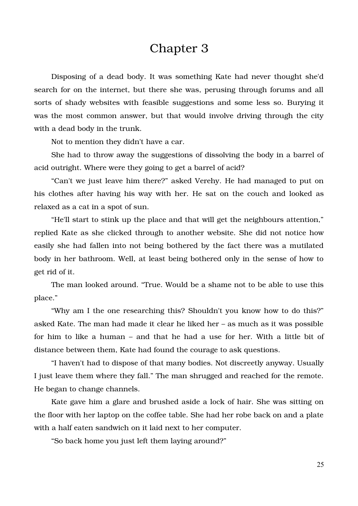#### Chapter 3

Disposing of a dead body. It was something Kate had never thought she'd search for on the internet, but there she was, perusing through forums and all sorts of shady websites with feasible suggestions and some less so. Burying it was the most common answer, but that would involve driving through the city with a dead body in the trunk.

Not to mention they didn't have a car.

She had to throw away the suggestions of dissolving the body in a barrel of acid outright. Where were they going to get a barrel of acid?

"Can't we just leave him there?" asked Verehy. He had managed to put on his clothes after having his way with her. He sat on the couch and looked as relaxed as a cat in a spot of sun.

"He'll start to stink up the place and that will get the neighbours attention," replied Kate as she clicked through to another website. She did not notice how easily she had fallen into not being bothered by the fact there was a mutilated body in her bathroom. Well, at least being bothered only in the sense of how to get rid of it.

The man looked around. "True. Would be a shame not to be able to use this place."

"Why am I the one researching this? Shouldn't you know how to do this?" asked Kate. The man had made it clear he liked her – as much as it was possible for him to like a human – and that he had a use for her. With a little bit of distance between them, Kate had found the courage to ask questions.

"I haven't had to dispose of that many bodies. Not discreetly anyway. Usually I just leave them where they fall." The man shrugged and reached for the remote. He began to change channels.

Kate gave him a glare and brushed aside a lock of hair. She was sitting on the floor with her laptop on the coffee table. She had her robe back on and a plate with a half eaten sandwich on it laid next to her computer.

"So back home you just left them laying around?"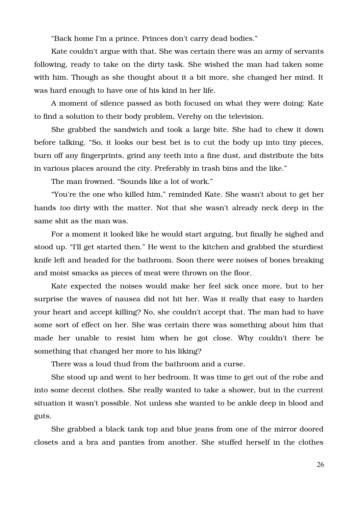"Back home I'm a prince. Princes don't carry dead bodies."

Kate couldn't argue with that. She was certain there was an army of servants following, ready to take on the dirty task. She wished the man had taken some with him. Though as she thought about it a bit more, she changed her mind. It was hard enough to have one of his kind in her life.

A moment of silence passed as both focused on what they were doing: Kate to find a solution to their body problem, Verehy on the television.

She grabbed the sandwich and took a large bite. She had to chew it down before talking. "So, it looks our best bet is to cut the body up into tiny pieces, burn off any fingerprints, grind any teeth into a fine dust, and distribute the bits in various places around the city. Preferably in trash bins and the like."

The man frowned. "Sounds like a lot of work."

"You're the one who killed him," reminded Kate. She wasn't about to get her hands *too* dirty with the matter. Not that she wasn't already neck deep in the same shit as the man was.

For a moment it looked like he would start arguing, but finally he sighed and stood up. "I'll get started then." He went to the kitchen and grabbed the sturdiest knife left and headed for the bathroom. Soon there were noises of bones breaking and moist smacks as pieces of meat were thrown on the floor.

Kate expected the noises would make her feel sick once more, but to her surprise the waves of nausea did not hit her. Was it really that easy to harden your heart and accept killing? No, she couldn't accept that. The man had to have some sort of effect on her. She was certain there was something about him that made her unable to resist him when he got close. Why couldn't there be something that changed her more to his liking?

There was a loud thud from the bathroom and a curse.

She stood up and went to her bedroom. It was time to get out of the robe and into some decent clothes. She really wanted to take a shower, but in the current situation it wasn't possible. Not unless she wanted to be ankle deep in blood and guts.

She grabbed a black tank top and blue jeans from one of the mirror doored closets and a bra and panties from another. She stuffed herself in the clothes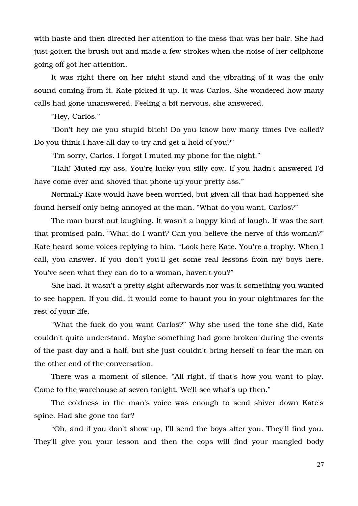with haste and then directed her attention to the mess that was her hair. She had just gotten the brush out and made a few strokes when the noise of her cellphone going off got her attention.

It was right there on her night stand and the vibrating of it was the only sound coming from it. Kate picked it up. It was Carlos. She wondered how many calls had gone unanswered. Feeling a bit nervous, she answered.

"Hey, Carlos."

"Don't hey me you stupid bitch! Do you know how many times I've called? Do you think I have all day to try and get a hold of you?"

"I'm sorry, Carlos. I forgot I muted my phone for the night."

"Hah! Muted my ass. You're lucky you silly cow. If you hadn't answered I'd have come over and shoved that phone up your pretty ass."

Normally Kate would have been worried, but given all that had happened she found herself only being annoyed at the man. "What do you want, Carlos?"

The man burst out laughing. It wasn't a happy kind of laugh. It was the sort that promised pain. "What do I want? Can you believe the nerve of this woman?" Kate heard some voices replying to him. "Look here Kate. You're a trophy. When I call, you answer. If you don't you'll get some real lessons from my boys here. You've seen what they can do to a woman, haven't you?"

She had. It wasn't a pretty sight afterwards nor was it something you wanted to see happen. If you did, it would come to haunt you in your nightmares for the rest of your life.

"What the fuck do you want Carlos?" Why she used the tone she did, Kate couldn't quite understand. Maybe something had gone broken during the events of the past day and a half, but she just couldn't bring herself to fear the man on the other end of the conversation.

There was a moment of silence. "All right, if that's how you want to play. Come to the warehouse at seven tonight. We'll see what's up then."

The coldness in the man's voice was enough to send shiver down Kate's spine. Had she gone too far?

"Oh, and if you don't show up, I'll send the boys after you. They'll find you. They'll give you your lesson and then the cops will find your mangled body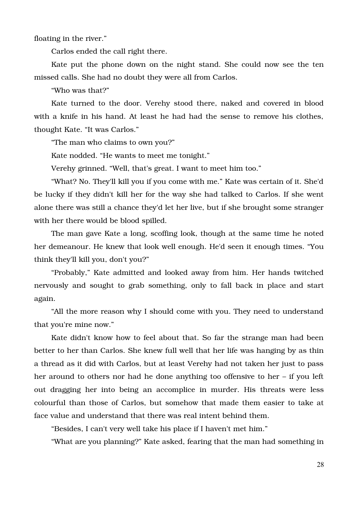floating in the river."

Carlos ended the call right there.

Kate put the phone down on the night stand. She could now see the ten missed calls. She had no doubt they were all from Carlos.

"Who was that?"

Kate turned to the door. Verehy stood there, naked and covered in blood with a knife in his hand. At least he had had the sense to remove his clothes, thought Kate. "It was Carlos."

"The man who claims to own you?"

Kate nodded. "He wants to meet me tonight."

Verehy grinned. "Well, that's great. I want to meet him too."

"What? No. They'll kill you if you come with me." Kate was certain of it. She'd be lucky if they didn't kill her for the way she had talked to Carlos. If she went alone there was still a chance they'd let her live, but if she brought some stranger with her there would be blood spilled.

The man gave Kate a long, scoffing look, though at the same time he noted her demeanour. He knew that look well enough. He'd seen it enough times. "You think they'll kill you, don't you?"

"Probably," Kate admitted and looked away from him. Her hands twitched nervously and sought to grab something, only to fall back in place and start again.

"All the more reason why I should come with you. They need to understand that you're mine now."

Kate didn't know how to feel about that. So far the strange man had been better to her than Carlos. She knew full well that her life was hanging by as thin a thread as it did with Carlos, but at least Verehy had not taken her just to pass her around to others nor had he done anything too offensive to her – if you left out dragging her into being an accomplice in murder. His threats were less colourful than those of Carlos, but somehow that made them easier to take at face value and understand that there was real intent behind them.

"Besides, I can't very well take his place if I haven't met him."

"What are you planning?" Kate asked, fearing that the man had something in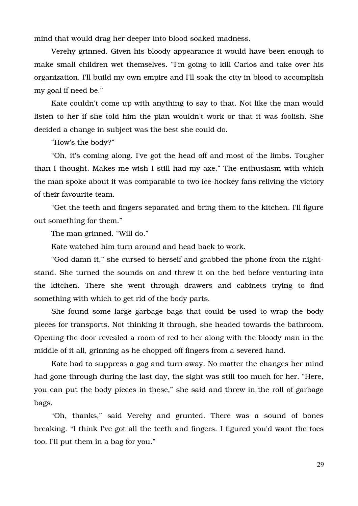mind that would drag her deeper into blood soaked madness.

Verehy grinned. Given his bloody appearance it would have been enough to make small children wet themselves. "I'm going to kill Carlos and take over his organization. I'll build my own empire and I'll soak the city in blood to accomplish my goal if need be."

Kate couldn't come up with anything to say to that. Not like the man would listen to her if she told him the plan wouldn't work or that it was foolish. She decided a change in subject was the best she could do.

"How's the body?"

"Oh, it's coming along. I've got the head off and most of the limbs. Tougher than I thought. Makes me wish I still had my axe." The enthusiasm with which the man spoke about it was comparable to two ice-hockey fans reliving the victory of their favourite team.

"Get the teeth and fingers separated and bring them to the kitchen. I'll figure out something for them."

The man grinned. "Will do."

Kate watched him turn around and head back to work.

"God damn it," she cursed to herself and grabbed the phone from the nightstand. She turned the sounds on and threw it on the bed before venturing into the kitchen. There she went through drawers and cabinets trying to find something with which to get rid of the body parts.

She found some large garbage bags that could be used to wrap the body pieces for transports. Not thinking it through, she headed towards the bathroom. Opening the door revealed a room of red to her along with the bloody man in the middle of it all, grinning as he chopped off fingers from a severed hand.

Kate had to suppress a gag and turn away. No matter the changes her mind had gone through during the last day, the sight was still too much for her. "Here, you can put the body pieces in these," she said and threw in the roll of garbage bags.

"Oh, thanks," said Verehy and grunted. There was a sound of bones breaking. "I think I've got all the teeth and fingers. I figured you'd want the toes too. I'll put them in a bag for you."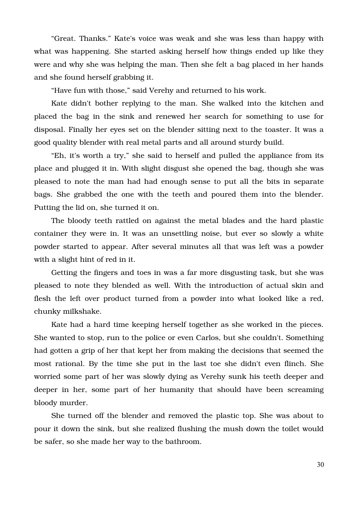"Great. Thanks." Kate's voice was weak and she was less than happy with what was happening. She started asking herself how things ended up like they were and why she was helping the man. Then she felt a bag placed in her hands and she found herself grabbing it.

"Have fun with those," said Verehy and returned to his work.

Kate didn't bother replying to the man. She walked into the kitchen and placed the bag in the sink and renewed her search for something to use for disposal. Finally her eyes set on the blender sitting next to the toaster. It was a good quality blender with real metal parts and all around sturdy build.

"Eh, it's worth a try," she said to herself and pulled the appliance from its place and plugged it in. With slight disgust she opened the bag, though she was pleased to note the man had had enough sense to put all the bits in separate bags. She grabbed the one with the teeth and poured them into the blender. Putting the lid on, she turned it on.

The bloody teeth rattled on against the metal blades and the hard plastic container they were in. It was an unsettling noise, but ever so slowly a white powder started to appear. After several minutes all that was left was a powder with a slight hint of red in it.

Getting the fingers and toes in was a far more disgusting task, but she was pleased to note they blended as well. With the introduction of actual skin and flesh the left over product turned from a powder into what looked like a red, chunky milkshake.

Kate had a hard time keeping herself together as she worked in the pieces. She wanted to stop, run to the police or even Carlos, but she couldn't. Something had gotten a grip of her that kept her from making the decisions that seemed the most rational. By the time she put in the last toe she didn't even flinch. She worried some part of her was slowly dying as Verehy sunk his teeth deeper and deeper in her, some part of her humanity that should have been screaming bloody murder.

She turned off the blender and removed the plastic top. She was about to pour it down the sink, but she realized flushing the mush down the toilet would be safer, so she made her way to the bathroom.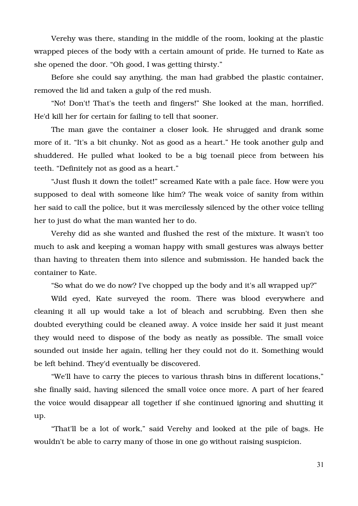Verehy was there, standing in the middle of the room, looking at the plastic wrapped pieces of the body with a certain amount of pride. He turned to Kate as she opened the door. "Oh good, I was getting thirsty."

Before she could say anything, the man had grabbed the plastic container, removed the lid and taken a gulp of the red mush.

"No! Don't! That's the teeth and fingers!" She looked at the man, horrified. He'd kill her for certain for failing to tell that sooner.

The man gave the container a closer look. He shrugged and drank some more of it. "It's a bit chunky. Not as good as a heart." He took another gulp and shuddered. He pulled what looked to be a big toenail piece from between his teeth. "Definitely not as good as a heart."

"Just flush it down the toilet!" screamed Kate with a pale face. How were you supposed to deal with someone like him? The weak voice of sanity from within her said to call the police, but it was mercilessly silenced by the other voice telling her to just do what the man wanted her to do.

Verehy did as she wanted and flushed the rest of the mixture. It wasn't too much to ask and keeping a woman happy with small gestures was always better than having to threaten them into silence and submission. He handed back the container to Kate.

"So what do we do now? I've chopped up the body and it's all wrapped up?"

Wild eyed, Kate surveyed the room. There was blood everywhere and cleaning it all up would take a lot of bleach and scrubbing. Even then she doubted everything could be cleaned away. A voice inside her said it just meant they would need to dispose of the body as neatly as possible. The small voice sounded out inside her again, telling her they could not do it. Something would be left behind. They'd eventually be discovered.

"We'll have to carry the pieces to various thrash bins in different locations," she finally said, having silenced the small voice once more. A part of her feared the voice would disappear all together if she continued ignoring and shutting it up.

"That'll be a lot of work," said Verehy and looked at the pile of bags. He wouldn't be able to carry many of those in one go without raising suspicion.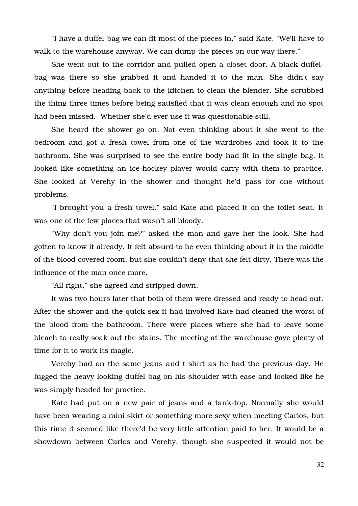"I have a duffel-bag we can fit most of the pieces in," said Kate. "We'll have to walk to the warehouse anyway. We can dump the pieces on our way there."

She went out to the corridor and pulled open a closet door. A black duffelbag was there so she grabbed it and handed it to the man. She didn't say anything before heading back to the kitchen to clean the blender. She scrubbed the thing three times before being satisfied that it was clean enough and no spot had been missed. Whether she'd ever use it was questionable still.

She heard the shower go on. Not even thinking about it she went to the bedroom and got a fresh towel from one of the wardrobes and took it to the bathroom. She was surprised to see the entire body had fit in the single bag. It looked like something an ice-hockey player would carry with them to practice. She looked at Verehy in the shower and thought he'd pass for one without problems.

"I brought you a fresh towel," said Kate and placed it on the toilet seat. It was one of the few places that wasn't all bloody.

"Why don't you join me?" asked the man and gave her the look. She had gotten to know it already. It felt absurd to be even thinking about it in the middle of the blood covered room, but she couldn't deny that she felt dirty. There was the influence of the man once more.

"All right," she agreed and stripped down.

It was two hours later that both of them were dressed and ready to head out. After the shower and the quick sex it had involved Kate had cleaned the worst of the blood from the bathroom. There were places where she had to leave some bleach to really soak out the stains. The meeting at the warehouse gave plenty of time for it to work its magic.

Verehy had on the same jeans and t-shirt as he had the previous day. He lugged the heavy looking duffel-bag on his shoulder with ease and looked like he was simply headed for practice.

Kate had put on a new pair of jeans and a tank-top. Normally she would have been wearing a mini skirt or something more sexy when meeting Carlos, but this time it seemed like there'd be very little attention paid to her. It would be a showdown between Carlos and Verehy, though she suspected it would not be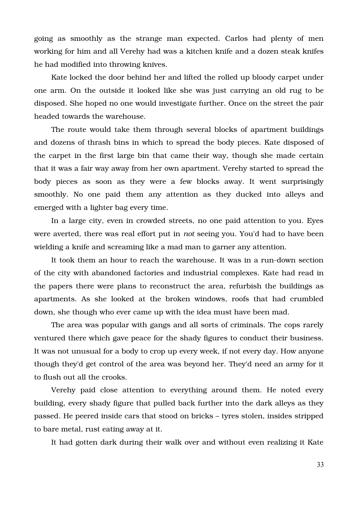going as smoothly as the strange man expected. Carlos had plenty of men working for him and all Verehy had was a kitchen knife and a dozen steak knifes he had modified into throwing knives.

Kate locked the door behind her and lifted the rolled up bloody carpet under one arm. On the outside it looked like she was just carrying an old rug to be disposed. She hoped no one would investigate further. Once on the street the pair headed towards the warehouse.

The route would take them through several blocks of apartment buildings and dozens of thrash bins in which to spread the body pieces. Kate disposed of the carpet in the first large bin that came their way, though she made certain that it was a fair way away from her own apartment. Verehy started to spread the body pieces as soon as they were a few blocks away. It went surprisingly smoothly. No one paid them any attention as they ducked into alleys and emerged with a lighter bag every time.

In a large city, even in crowded streets, no one paid attention to you. Eyes were averted, there was real effort put in *not* seeing you. You'd had to have been wielding a knife and screaming like a mad man to garner any attention.

It took them an hour to reach the warehouse. It was in a run-down section of the city with abandoned factories and industrial complexes. Kate had read in the papers there were plans to reconstruct the area, refurbish the buildings as apartments. As she looked at the broken windows, roofs that had crumbled down, she though who ever came up with the idea must have been mad.

The area was popular with gangs and all sorts of criminals. The cops rarely ventured there which gave peace for the shady figures to conduct their business. It was not unusual for a body to crop up every week, if not every day. How anyone though they'd get control of the area was beyond her. They'd need an army for it to flush out all the crooks.

Verehy paid close attention to everything around them. He noted every building, every shady figure that pulled back further into the dark alleys as they passed. He peered inside cars that stood on bricks – tyres stolen, insides stripped to bare metal, rust eating away at it.

It had gotten dark during their walk over and without even realizing it Kate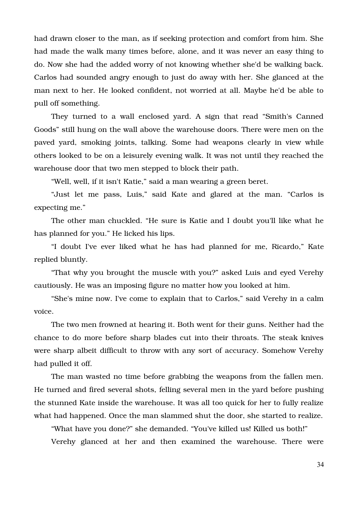had drawn closer to the man, as if seeking protection and comfort from him. She had made the walk many times before, alone, and it was never an easy thing to do. Now she had the added worry of not knowing whether she'd be walking back. Carlos had sounded angry enough to just do away with her. She glanced at the man next to her. He looked confident, not worried at all. Maybe he'd be able to pull off something.

They turned to a wall enclosed yard. A sign that read "Smith's Canned Goods" still hung on the wall above the warehouse doors. There were men on the paved yard, smoking joints, talking. Some had weapons clearly in view while others looked to be on a leisurely evening walk. It was not until they reached the warehouse door that two men stepped to block their path.

"Well, well, if it isn't Katie," said a man wearing a green beret.

"Just let me pass, Luis," said Kate and glared at the man. "Carlos is expecting me."

The other man chuckled. "He sure is Katie and I doubt you'll like what he has planned for you." He licked his lips.

"I doubt I've ever liked what he has had planned for me, Ricardo," Kate replied bluntly.

"That why you brought the muscle with you?" asked Luis and eyed Verehy cautiously. He was an imposing figure no matter how you looked at him.

"She's mine now. I've come to explain that to Carlos," said Verehy in a calm voice.

The two men frowned at hearing it. Both went for their guns. Neither had the chance to do more before sharp blades cut into their throats. The steak knives were sharp albeit difficult to throw with any sort of accuracy. Somehow Verehy had pulled it off.

The man wasted no time before grabbing the weapons from the fallen men. He turned and fired several shots, felling several men in the yard before pushing the stunned Kate inside the warehouse. It was all too quick for her to fully realize what had happened. Once the man slammed shut the door, she started to realize.

"What have you done?" she demanded. "You've killed us! Killed us both!"

Verehy glanced at her and then examined the warehouse. There were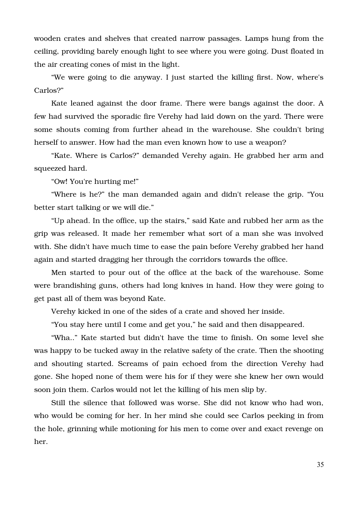wooden crates and shelves that created narrow passages. Lamps hung from the ceiling, providing barely enough light to see where you were going. Dust floated in the air creating cones of mist in the light.

"We were going to die anyway. I just started the killing first. Now, where's Carlos?"

Kate leaned against the door frame. There were bangs against the door. A few had survived the sporadic fire Verehy had laid down on the yard. There were some shouts coming from further ahead in the warehouse. She couldn't bring herself to answer. How had the man even known how to use a weapon?

"Kate. Where is Carlos?" demanded Verehy again. He grabbed her arm and squeezed hard.

"Ow! You're hurting me!"

"Where is he?" the man demanded again and didn't release the grip. "You better start talking or we will die."

"Up ahead. In the office, up the stairs," said Kate and rubbed her arm as the grip was released. It made her remember what sort of a man she was involved with. She didn't have much time to ease the pain before Verehy grabbed her hand again and started dragging her through the corridors towards the office.

Men started to pour out of the office at the back of the warehouse. Some were brandishing guns, others had long knives in hand. How they were going to get past all of them was beyond Kate.

Verehy kicked in one of the sides of a crate and shoved her inside.

"You stay here until I come and get you," he said and then disappeared.

"Wha.." Kate started but didn't have the time to finish. On some level she was happy to be tucked away in the relative safety of the crate. Then the shooting and shouting started. Screams of pain echoed from the direction Verehy had gone. She hoped none of them were his for if they were she knew her own would soon join them. Carlos would not let the killing of his men slip by.

Still the silence that followed was worse. She did not know who had won, who would be coming for her. In her mind she could see Carlos peeking in from the hole, grinning while motioning for his men to come over and exact revenge on her.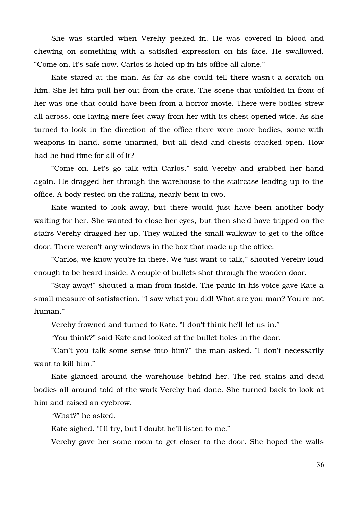She was startled when Verehy peeked in. He was covered in blood and chewing on something with a satisfied expression on his face. He swallowed. "Come on. It's safe now. Carlos is holed up in his office all alone."

Kate stared at the man. As far as she could tell there wasn't a scratch on him. She let him pull her out from the crate. The scene that unfolded in front of her was one that could have been from a horror movie. There were bodies strew all across, one laying mere feet away from her with its chest opened wide. As she turned to look in the direction of the office there were more bodies, some with weapons in hand, some unarmed, but all dead and chests cracked open. How had he had time for all of it?

"Come on. Let's go talk with Carlos," said Verehy and grabbed her hand again. He dragged her through the warehouse to the staircase leading up to the office. A body rested on the railing, nearly bent in two.

Kate wanted to look away, but there would just have been another body waiting for her. She wanted to close her eyes, but then she'd have tripped on the stairs Verehy dragged her up. They walked the small walkway to get to the office door. There weren't any windows in the box that made up the office.

"Carlos, we know you're in there. We just want to talk," shouted Verehy loud enough to be heard inside. A couple of bullets shot through the wooden door.

"Stay away!" shouted a man from inside. The panic in his voice gave Kate a small measure of satisfaction. "I saw what you did! What are you man? You're not human."

Verehy frowned and turned to Kate. "I don't think he'll let us in."

"You think?" said Kate and looked at the bullet holes in the door.

"Can't you talk some sense into him?" the man asked. "I don't necessarily want to kill him."

Kate glanced around the warehouse behind her. The red stains and dead bodies all around told of the work Verehy had done. She turned back to look at him and raised an eyebrow.

"What?" he asked.

Kate sighed. "I'll try, but I doubt he'll listen to me."

Verehy gave her some room to get closer to the door. She hoped the walls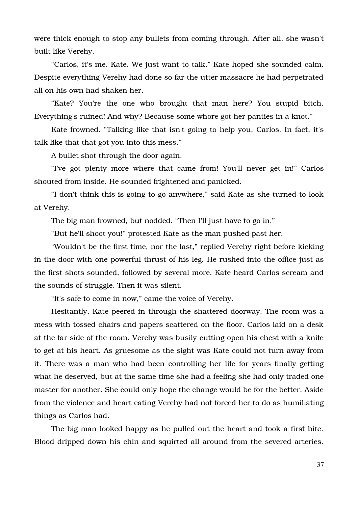were thick enough to stop any bullets from coming through. After all, she wasn't built like Verehy.

"Carlos, it's me. Kate. We just want to talk." Kate hoped she sounded calm. Despite everything Verehy had done so far the utter massacre he had perpetrated all on his own had shaken her.

"Kate? You're the one who brought that man here? You stupid bitch. Everything's ruined! And why? Because some whore got her panties in a knot."

Kate frowned. "Talking like that isn't going to help you, Carlos. In fact, it's talk like that that got you into this mess."

A bullet shot through the door again.

"I've got plenty more where that came from! You'll never get in!" Carlos shouted from inside. He sounded frightened and panicked.

"I don't think this is going to go anywhere," said Kate as she turned to look at Verehy.

The big man frowned, but nodded. "Then I'll just have to go in."

"But he'll shoot you!" protested Kate as the man pushed past her.

"Wouldn't be the first time, nor the last," replied Verehy right before kicking in the door with one powerful thrust of his leg. He rushed into the office just as the first shots sounded, followed by several more. Kate heard Carlos scream and the sounds of struggle. Then it was silent.

"It's safe to come in now," came the voice of Verehy.

Hesitantly, Kate peered in through the shattered doorway. The room was a mess with tossed chairs and papers scattered on the floor. Carlos laid on a desk at the far side of the room. Verehy was busily cutting open his chest with a knife to get at his heart. As gruesome as the sight was Kate could not turn away from it. There was a man who had been controlling her life for years finally getting what he deserved, but at the same time she had a feeling she had only traded one master for another. She could only hope the change would be for the better. Aside from the violence and heart eating Verehy had not forced her to do as humiliating things as Carlos had.

The big man looked happy as he pulled out the heart and took a first bite. Blood dripped down his chin and squirted all around from the severed arteries.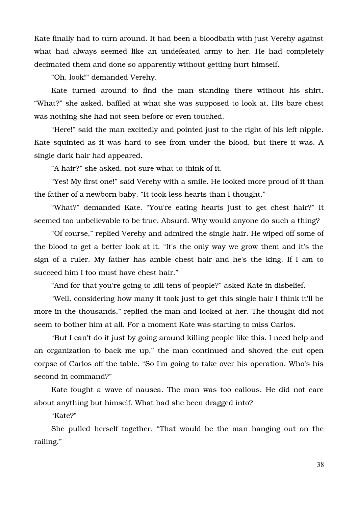Kate finally had to turn around. It had been a bloodbath with just Verehy against what had always seemed like an undefeated army to her. He had completely decimated them and done so apparently without getting hurt himself.

"Oh, look!" demanded Verehy.

Kate turned around to find the man standing there without his shirt. "What?" she asked, baffled at what she was supposed to look at. His bare chest was nothing she had not seen before or even touched.

"Here!" said the man excitedly and pointed just to the right of his left nipple. Kate squinted as it was hard to see from under the blood, but there it was. A single dark hair had appeared.

"A hair?" she asked, not sure what to think of it.

"Yes! My first one!" said Verehy with a smile. He looked more proud of it than the father of a newborn baby. "It took less hearts than I thought."

"What?" demanded Kate. "You're eating hearts just to get chest hair?" It seemed too unbelievable to be true. Absurd. Why would anyone do such a thing?

"Of course," replied Verehy and admired the single hair. He wiped off some of the blood to get a better look at it. "It's the only way we grow them and it's the sign of a ruler. My father has amble chest hair and he's the king. If I am to succeed him I too must have chest hair."

"And for that you're going to kill tens of people?" asked Kate in disbelief.

"Well, considering how many it took just to get this single hair I think it'll be more in the thousands," replied the man and looked at her. The thought did not seem to bother him at all. For a moment Kate was starting to miss Carlos.

"But I can't do it just by going around killing people like this. I need help and an organization to back me up," the man continued and shoved the cut open corpse of Carlos off the table. "So I'm going to take over his operation. Who's his second in command?"

Kate fought a wave of nausea. The man was too callous. He did not care about anything but himself. What had she been dragged into?

"Kate?"

She pulled herself together. "That would be the man hanging out on the railing."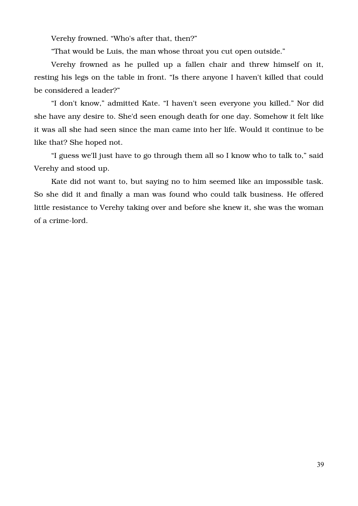Verehy frowned. "Who's after that, then?"

"That would be Luis, the man whose throat you cut open outside."

Verehy frowned as he pulled up a fallen chair and threw himself on it, resting his legs on the table in front. "Is there anyone I haven't killed that could be considered a leader?"

"I don't know," admitted Kate. "I haven't seen everyone you killed." Nor did she have any desire to. She'd seen enough death for one day. Somehow it felt like it was all she had seen since the man came into her life. Would it continue to be like that? She hoped not.

"I guess we'll just have to go through them all so I know who to talk to," said Verehy and stood up.

Kate did not want to, but saying no to him seemed like an impossible task. So she did it and finally a man was found who could talk business. He offered little resistance to Verehy taking over and before she knew it, she was the woman of a crime-lord.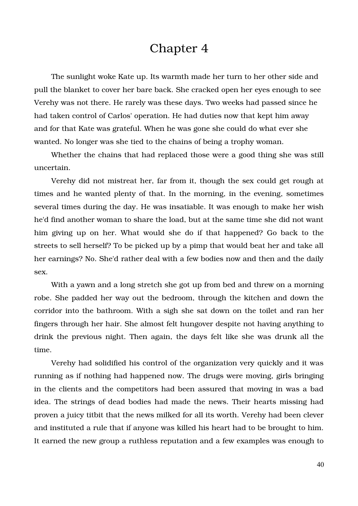## Chapter 4

The sunlight woke Kate up. Its warmth made her turn to her other side and pull the blanket to cover her bare back. She cracked open her eyes enough to see Verehy was not there. He rarely was these days. Two weeks had passed since he had taken control of Carlos' operation. He had duties now that kept him away and for that Kate was grateful. When he was gone she could do what ever she wanted. No longer was she tied to the chains of being a trophy woman.

Whether the chains that had replaced those were a good thing she was still uncertain.

Verehy did not mistreat her, far from it, though the sex could get rough at times and he wanted plenty of that. In the morning, in the evening, sometimes several times during the day. He was insatiable. It was enough to make her wish he'd find another woman to share the load, but at the same time she did not want him giving up on her. What would she do if that happened? Go back to the streets to sell herself? To be picked up by a pimp that would beat her and take all her earnings? No. She'd rather deal with a few bodies now and then and the daily sex.

With a yawn and a long stretch she got up from bed and threw on a morning robe. She padded her way out the bedroom, through the kitchen and down the corridor into the bathroom. With a sigh she sat down on the toilet and ran her fingers through her hair. She almost felt hungover despite not having anything to drink the previous night. Then again, the days felt like she was drunk all the time.

Verehy had solidified his control of the organization very quickly and it was running as if nothing had happened now. The drugs were moving, girls bringing in the clients and the competitors had been assured that moving in was a bad idea. The strings of dead bodies had made the news. Their hearts missing had proven a juicy titbit that the news milked for all its worth. Verehy had been clever and instituted a rule that if anyone was killed his heart had to be brought to him. It earned the new group a ruthless reputation and a few examples was enough to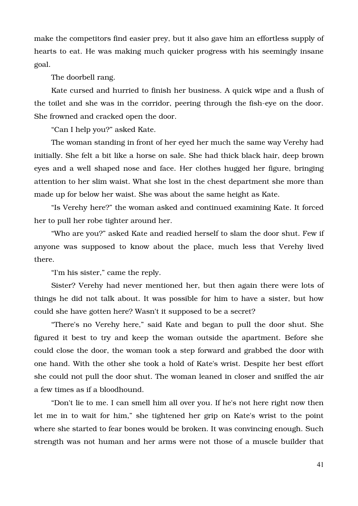make the competitors find easier prey, but it also gave him an effortless supply of hearts to eat. He was making much quicker progress with his seemingly insane goal.

The doorbell rang.

Kate cursed and hurried to finish her business. A quick wipe and a flush of the toilet and she was in the corridor, peering through the fish-eye on the door. She frowned and cracked open the door.

"Can I help you?" asked Kate.

The woman standing in front of her eyed her much the same way Verehy had initially. She felt a bit like a horse on sale. She had thick black hair, deep brown eyes and a well shaped nose and face. Her clothes hugged her figure, bringing attention to her slim waist. What she lost in the chest department she more than made up for below her waist. She was about the same height as Kate.

"Is Verehy here?" the woman asked and continued examining Kate. It forced her to pull her robe tighter around her.

"Who are you?" asked Kate and readied herself to slam the door shut. Few if anyone was supposed to know about the place, much less that Verehy lived there.

"I'm his sister," came the reply.

Sister? Verehy had never mentioned her, but then again there were lots of things he did not talk about. It was possible for him to have a sister, but how could she have gotten here? Wasn't it supposed to be a secret?

"There's no Verehy here," said Kate and began to pull the door shut. She figured it best to try and keep the woman outside the apartment. Before she could close the door, the woman took a step forward and grabbed the door with one hand. With the other she took a hold of Kate's wrist. Despite her best effort she could not pull the door shut. The woman leaned in closer and sniffed the air a few times as if a bloodhound.

"Don't lie to me. I can smell him all over you. If he's not here right now then let me in to wait for him," she tightened her grip on Kate's wrist to the point where she started to fear bones would be broken. It was convincing enough. Such strength was not human and her arms were not those of a muscle builder that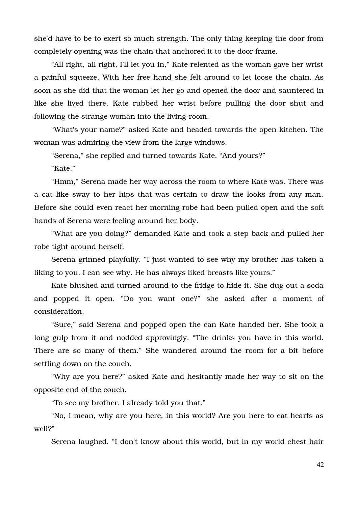she'd have to be to exert so much strength. The only thing keeping the door from completely opening was the chain that anchored it to the door frame.

"All right, all right, I'll let you in," Kate relented as the woman gave her wrist a painful squeeze. With her free hand she felt around to let loose the chain. As soon as she did that the woman let her go and opened the door and sauntered in like she lived there. Kate rubbed her wrist before pulling the door shut and following the strange woman into the living-room.

"What's your name?" asked Kate and headed towards the open kitchen. The woman was admiring the view from the large windows.

"Serena," she replied and turned towards Kate. "And yours?"

"Kate."

"Hmm," Serena made her way across the room to where Kate was. There was a cat like sway to her hips that was certain to draw the looks from any man. Before she could even react her morning robe had been pulled open and the soft hands of Serena were feeling around her body.

"What are you doing?" demanded Kate and took a step back and pulled her robe tight around herself.

Serena grinned playfully. "I just wanted to see why my brother has taken a liking to you. I can see why. He has always liked breasts like yours."

Kate blushed and turned around to the fridge to hide it. She dug out a soda and popped it open. "Do vou want one?" she asked after a moment of consideration.

"Sure," said Serena and popped open the can Kate handed her. She took a long gulp from it and nodded approvingly. "The drinks you have in this world. There are so many of them." She wandered around the room for a bit before settling down on the couch.

"Why are you here?" asked Kate and hesitantly made her way to sit on the opposite end of the couch.

"To see my brother. I already told you that."

"No, I mean, why are you here, in this world? Are you here to eat hearts as well?"

Serena laughed. "I don't know about this world, but in my world chest hair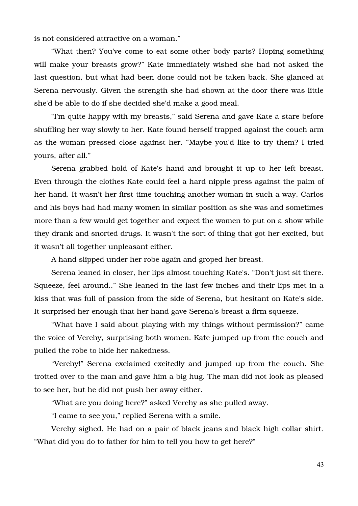is not considered attractive on a woman."

"What then? You've come to eat some other body parts? Hoping something will make your breasts grow?" Kate immediately wished she had not asked the last question, but what had been done could not be taken back. She glanced at Serena nervously. Given the strength she had shown at the door there was little she'd be able to do if she decided she'd make a good meal.

"I'm quite happy with my breasts," said Serena and gave Kate a stare before shuffling her way slowly to her. Kate found herself trapped against the couch arm as the woman pressed close against her. "Maybe you'd like to try them? I tried yours, after all."

Serena grabbed hold of Kate's hand and brought it up to her left breast. Even through the clothes Kate could feel a hard nipple press against the palm of her hand. It wasn't her first time touching another woman in such a way. Carlos and his boys had had many women in similar position as she was and sometimes more than a few would get together and expect the women to put on a show while they drank and snorted drugs. It wasn't the sort of thing that got her excited, but it wasn't all together unpleasant either.

A hand slipped under her robe again and groped her breast.

Serena leaned in closer, her lips almost touching Kate's. "Don't just sit there. Squeeze, feel around.." She leaned in the last few inches and their lips met in a kiss that was full of passion from the side of Serena, but hesitant on Kate's side. It surprised her enough that her hand gave Serena's breast a firm squeeze.

"What have I said about playing with my things without permission?" came the voice of Verehy, surprising both women. Kate jumped up from the couch and pulled the robe to hide her nakedness.

"Verehy!" Serena exclaimed excitedly and jumped up from the couch. She trotted over to the man and gave him a big hug. The man did not look as pleased to see her, but he did not push her away either.

"What are you doing here?" asked Verehy as she pulled away.

"I came to see you," replied Serena with a smile.

Verehy sighed. He had on a pair of black jeans and black high collar shirt. "What did you do to father for him to tell you how to get here?"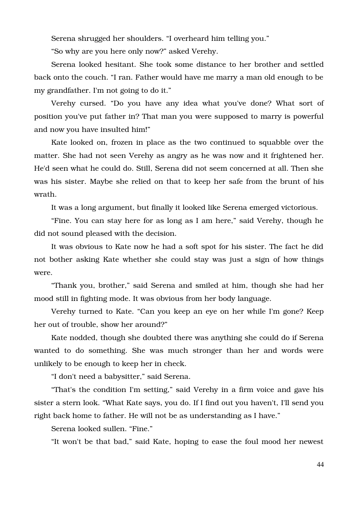Serena shrugged her shoulders. "I overheard him telling you."

"So why are you here only now?" asked Verehy.

Serena looked hesitant. She took some distance to her brother and settled back onto the couch. "I ran. Father would have me marry a man old enough to be my grandfather. I'm not going to do it."

Verehy cursed. "Do you have any idea what you've done? What sort of position you've put father in? That man you were supposed to marry is powerful and now you have insulted him!"

Kate looked on, frozen in place as the two continued to squabble over the matter. She had not seen Verehy as angry as he was now and it frightened her. He'd seen what he could do. Still, Serena did not seem concerned at all. Then she was his sister. Maybe she relied on that to keep her safe from the brunt of his wrath.

It was a long argument, but finally it looked like Serena emerged victorious.

"Fine. You can stay here for as long as I am here," said Verehy, though he did not sound pleased with the decision.

It was obvious to Kate now he had a soft spot for his sister. The fact he did not bother asking Kate whether she could stay was just a sign of how things were.

"Thank you, brother," said Serena and smiled at him, though she had her mood still in fighting mode. It was obvious from her body language.

Verehy turned to Kate. "Can you keep an eye on her while I'm gone? Keep her out of trouble, show her around?"

Kate nodded, though she doubted there was anything she could do if Serena wanted to do something. She was much stronger than her and words were unlikely to be enough to keep her in check.

"I don't need a babysitter," said Serena.

"That's the condition I'm setting," said Verehy in a firm voice and gave his sister a stern look. "What Kate says, you do. If I find out you haven't, I'll send you right back home to father. He will not be as understanding as I have."

Serena looked sullen. "Fine."

"It won't be that bad," said Kate, hoping to ease the foul mood her newest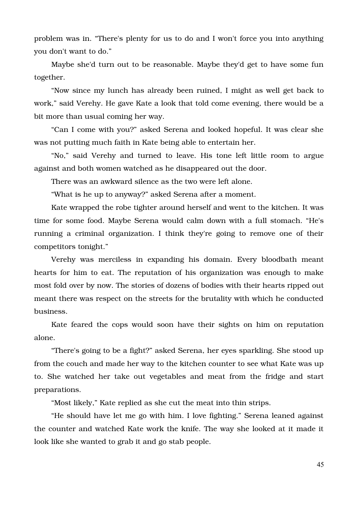problem was in. "There's plenty for us to do and I won't force you into anything you don't want to do."

Maybe she'd turn out to be reasonable. Maybe they'd get to have some fun together.

"Now since my lunch has already been ruined, I might as well get back to work," said Verehy. He gave Kate a look that told come evening, there would be a bit more than usual coming her way.

"Can I come with you?" asked Serena and looked hopeful. It was clear she was not putting much faith in Kate being able to entertain her.

"No," said Verehy and turned to leave. His tone left little room to argue against and both women watched as he disappeared out the door.

There was an awkward silence as the two were left alone.

"What is he up to anyway?" asked Serena after a moment.

Kate wrapped the robe tighter around herself and went to the kitchen. It was time for some food. Maybe Serena would calm down with a full stomach. "He's running a criminal organization. I think they're going to remove one of their competitors tonight."

Verehy was merciless in expanding his domain. Every bloodbath meant hearts for him to eat. The reputation of his organization was enough to make most fold over by now. The stories of dozens of bodies with their hearts ripped out meant there was respect on the streets for the brutality with which he conducted business.

Kate feared the cops would soon have their sights on him on reputation alone.

"There's going to be a fight?" asked Serena, her eyes sparkling. She stood up from the couch and made her way to the kitchen counter to see what Kate was up to. She watched her take out vegetables and meat from the fridge and start preparations.

"Most likely," Kate replied as she cut the meat into thin strips.

"He should have let me go with him. I love fighting." Serena leaned against the counter and watched Kate work the knife. The way she looked at it made it look like she wanted to grab it and go stab people.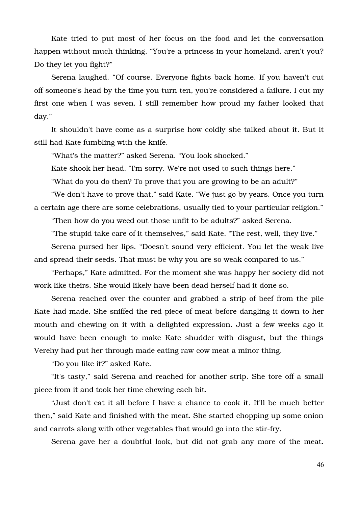Kate tried to put most of her focus on the food and let the conversation happen without much thinking. "You're a princess in your homeland, aren't you? Do they let you fight?"

Serena laughed. "Of course. Everyone fights back home. If you haven't cut off someone's head by the time you turn ten, you're considered a failure. I cut my first one when I was seven. I still remember how proud my father looked that day."

It shouldn't have come as a surprise how coldly she talked about it. But it still had Kate fumbling with the knife.

"What's the matter?" asked Serena. "You look shocked."

Kate shook her head. "I'm sorry. We're not used to such things here."

"What do you do then? To prove that you are growing to be an adult?"

"We don't have to prove that," said Kate. "We just go by years. Once you turn a certain age there are some celebrations, usually tied to your particular religion."

"Then how do you weed out those unfit to be adults?" asked Serena.

"The stupid take care of it themselves," said Kate. "The rest, well, they live."

Serena pursed her lips. "Doesn't sound very efficient. You let the weak live and spread their seeds. That must be why you are so weak compared to us."

"Perhaps," Kate admitted. For the moment she was happy her society did not work like theirs. She would likely have been dead herself had it done so.

Serena reached over the counter and grabbed a strip of beef from the pile Kate had made. She sniffed the red piece of meat before dangling it down to her mouth and chewing on it with a delighted expression. Just a few weeks ago it would have been enough to make Kate shudder with disgust, but the things Verehy had put her through made eating raw cow meat a minor thing.

"Do you like it?" asked Kate.

"It's tasty," said Serena and reached for another strip. She tore off a small piece from it and took her time chewing each bit.

"Just don't eat it all before I have a chance to cook it. It'll be much better then," said Kate and finished with the meat. She started chopping up some onion and carrots along with other vegetables that would go into the stir-fry.

Serena gave her a doubtful look, but did not grab any more of the meat.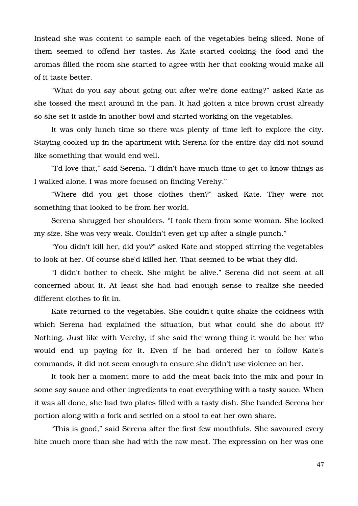Instead she was content to sample each of the vegetables being sliced. None of them seemed to offend her tastes. As Kate started cooking the food and the aromas filled the room she started to agree with her that cooking would make all of it taste better.

"What do you say about going out after we're done eating?" asked Kate as she tossed the meat around in the pan. It had gotten a nice brown crust already so she set it aside in another bowl and started working on the vegetables.

It was only lunch time so there was plenty of time left to explore the city. Staying cooked up in the apartment with Serena for the entire day did not sound like something that would end well.

"I'd love that," said Serena. "I didn't have much time to get to know things as I walked alone. I was more focused on finding Verehy."

"Where did you get those clothes then?" asked Kate. They were not something that looked to be from her world.

Serena shrugged her shoulders. "I took them from some woman. She looked my size. She was very weak. Couldn't even get up after a single punch."

"You didn't kill her, did you?" asked Kate and stopped stirring the vegetables to look at her. Of course she'd killed her. That seemed to be what they did.

"I didn't bother to check. She might be alive." Serena did not seem at all concerned about it. At least she had had enough sense to realize she needed different clothes to fit in.

Kate returned to the vegetables. She couldn't quite shake the coldness with which Serena had explained the situation, but what could she do about it? Nothing. Just like with Verehy, if she said the wrong thing it would be her who would end up paying for it. Even if he had ordered her to follow Kate's commands, it did not seem enough to ensure she didn't use violence on her.

It took her a moment more to add the meat back into the mix and pour in some soy sauce and other ingredients to coat everything with a tasty sauce. When it was all done, she had two plates filled with a tasty dish. She handed Serena her portion along with a fork and settled on a stool to eat her own share.

"This is good," said Serena after the first few mouthfuls. She savoured every bite much more than she had with the raw meat. The expression on her was one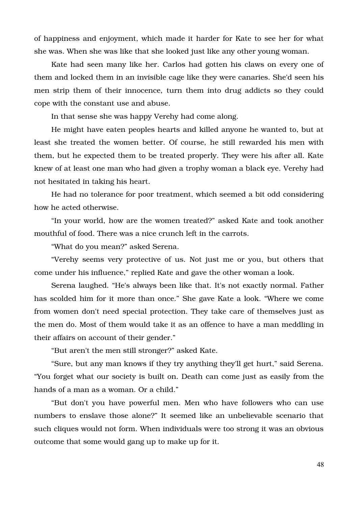of happiness and enjoyment, which made it harder for Kate to see her for what she was. When she was like that she looked just like any other young woman.

Kate had seen many like her. Carlos had gotten his claws on every one of them and locked them in an invisible cage like they were canaries. She'd seen his men strip them of their innocence, turn them into drug addicts so they could cope with the constant use and abuse.

In that sense she was happy Verehy had come along.

He might have eaten peoples hearts and killed anyone he wanted to, but at least she treated the women better. Of course, he still rewarded his men with them, but he expected them to be treated properly. They were his after all. Kate knew of at least one man who had given a trophy woman a black eye. Verehy had not hesitated in taking his heart.

He had no tolerance for poor treatment, which seemed a bit odd considering how he acted otherwise.

"In your world, how are the women treated?" asked Kate and took another mouthful of food. There was a nice crunch left in the carrots.

"What do you mean?" asked Serena.

"Verehy seems very protective of us. Not just me or you, but others that come under his influence," replied Kate and gave the other woman a look.

Serena laughed. "He's always been like that. It's not exactly normal. Father has scolded him for it more than once." She gave Kate a look. "Where we come from women don't need special protection. They take care of themselves just as the men do. Most of them would take it as an offence to have a man meddling in their affairs on account of their gender."

"But aren't the men still stronger?" asked Kate.

"Sure, but any man knows if they try anything they'll get hurt," said Serena. "You forget what our society is built on. Death can come just as easily from the hands of a man as a woman. Or a child."

"But don't you have powerful men. Men who have followers who can use numbers to enslave those alone?" It seemed like an unbelievable scenario that such cliques would not form. When individuals were too strong it was an obvious outcome that some would gang up to make up for it.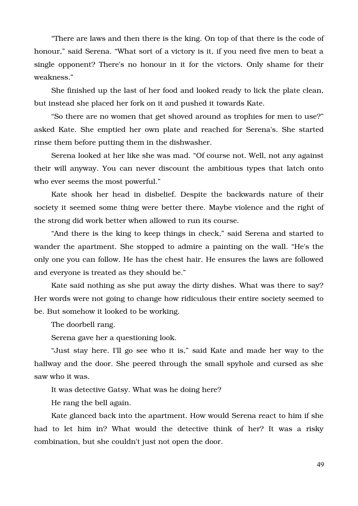"There are laws and then there is the king. On top of that there is the code of honour," said Serena. "What sort of a victory is it, if you need five men to beat a single opponent? There's no honour in it for the victors. Only shame for their weakness."

She finished up the last of her food and looked ready to lick the plate clean, but instead she placed her fork on it and pushed it towards Kate.

"So there are no women that get shoved around as trophies for men to use?" asked Kate. She emptied her own plate and reached for Serena's. She started rinse them before putting them in the dishwasher.

Serena looked at her like she was mad. "Of course not. Well, not any against their will anyway. You can never discount the ambitious types that latch onto who ever seems the most powerful."

Kate shook her head in disbelief. Despite the backwards nature of their society it seemed some thing were better there. Maybe violence and the right of the strong did work better when allowed to run its course.

"And there is the king to keep things in check," said Serena and started to wander the apartment. She stopped to admire a painting on the wall. "He's the only one you can follow. He has the chest hair. He ensures the laws are followed and everyone is treated as they should be."

Kate said nothing as she put away the dirty dishes. What was there to say? Her words were not going to change how ridiculous their entire society seemed to be. But somehow it looked to be working.

The doorbell rang.

Serena gave her a questioning look.

"Just stay here. I'll go see who it is," said Kate and made her way to the hallway and the door. She peered through the small spyhole and cursed as she saw who it was.

It was detective Gatsy. What was he doing here?

He rang the bell again.

Kate glanced back into the apartment. How would Serena react to him if she had to let him in? What would the detective think of her? It was a risky combination, but she couldn't just not open the door.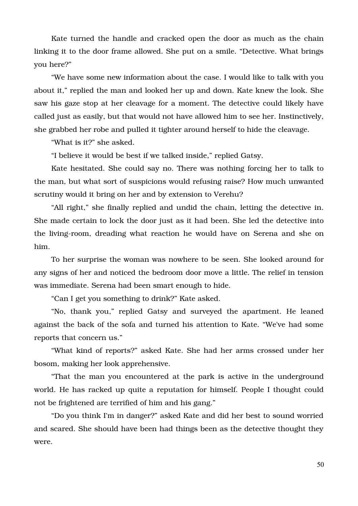Kate turned the handle and cracked open the door as much as the chain linking it to the door frame allowed. She put on a smile. "Detective. What brings you here?"

"We have some new information about the case. I would like to talk with you about it," replied the man and looked her up and down. Kate knew the look. She saw his gaze stop at her cleavage for a moment. The detective could likely have called just as easily, but that would not have allowed him to see her. Instinctively, she grabbed her robe and pulled it tighter around herself to hide the cleavage.

"What is it?" she asked.

"I believe it would be best if we talked inside," replied Gatsy.

Kate hesitated. She could say no. There was nothing forcing her to talk to the man, but what sort of suspicions would refusing raise? How much unwanted scrutiny would it bring on her and by extension to Verehu?

"All right," she finally replied and undid the chain, letting the detective in. She made certain to lock the door just as it had been. She led the detective into the living-room, dreading what reaction he would have on Serena and she on him.

To her surprise the woman was nowhere to be seen. She looked around for any signs of her and noticed the bedroom door move a little. The relief in tension was immediate. Serena had been smart enough to hide.

"Can I get you something to drink?" Kate asked.

"No, thank you," replied Gatsy and surveyed the apartment. He leaned against the back of the sofa and turned his attention to Kate. "We've had some reports that concern us."

"What kind of reports?" asked Kate. She had her arms crossed under her bosom, making her look apprehensive.

"That the man you encountered at the park is active in the underground world. He has racked up quite a reputation for himself. People I thought could not be frightened are terrified of him and his gang."

"Do you think I'm in danger?" asked Kate and did her best to sound worried and scared. She should have been had things been as the detective thought they were.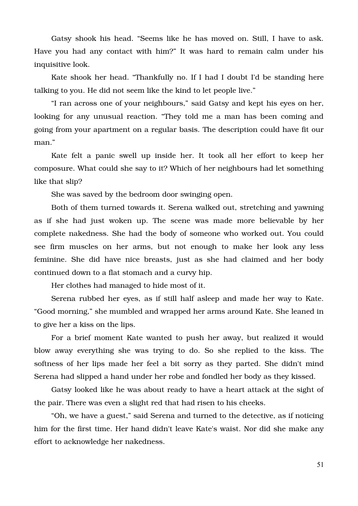Gatsy shook his head. "Seems like he has moved on. Still, I have to ask. Have you had any contact with him?" It was hard to remain calm under his inquisitive look.

Kate shook her head. "Thankfully no. If I had I doubt I'd be standing here talking to you. He did not seem like the kind to let people live."

"I ran across one of your neighbours," said Gatsy and kept his eyes on her, looking for any unusual reaction. "They told me a man has been coming and going from your apartment on a regular basis. The description could have fit our man."

Kate felt a panic swell up inside her. It took all her effort to keep her composure. What could she say to it? Which of her neighbours had let something like that slip?

She was saved by the bedroom door swinging open.

Both of them turned towards it. Serena walked out, stretching and yawning as if she had just woken up. The scene was made more believable by her complete nakedness. She had the body of someone who worked out. You could see firm muscles on her arms, but not enough to make her look any less feminine. She did have nice breasts, just as she had claimed and her body continued down to a flat stomach and a curvy hip.

Her clothes had managed to hide most of it.

Serena rubbed her eyes, as if still half asleep and made her way to Kate. "Good morning," she mumbled and wrapped her arms around Kate. She leaned in to give her a kiss on the lips.

For a brief moment Kate wanted to push her away, but realized it would blow away everything she was trying to do. So she replied to the kiss. The softness of her lips made her feel a bit sorry as they parted. She didn't mind Serena had slipped a hand under her robe and fondled her body as they kissed.

Gatsy looked like he was about ready to have a heart attack at the sight of the pair. There was even a slight red that had risen to his cheeks.

"Oh, we have a guest," said Serena and turned to the detective, as if noticing him for the first time. Her hand didn't leave Kate's waist. Nor did she make any effort to acknowledge her nakedness.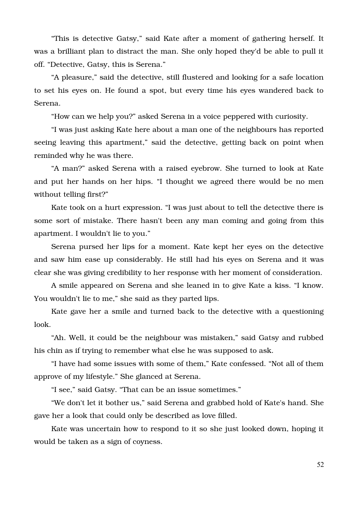"This is detective Gatsy," said Kate after a moment of gathering herself. It was a brilliant plan to distract the man. She only hoped they'd be able to pull it off. "Detective, Gatsy, this is Serena."

"A pleasure," said the detective, still flustered and looking for a safe location to set his eyes on. He found a spot, but every time his eyes wandered back to Serena.

"How can we help you?" asked Serena in a voice peppered with curiosity.

"I was just asking Kate here about a man one of the neighbours has reported seeing leaving this apartment," said the detective, getting back on point when reminded why he was there.

"A man?" asked Serena with a raised eyebrow. She turned to look at Kate and put her hands on her hips. "I thought we agreed there would be no men without telling first?"

Kate took on a hurt expression. "I was just about to tell the detective there is some sort of mistake. There hasn't been any man coming and going from this apartment. I wouldn't lie to you."

Serena pursed her lips for a moment. Kate kept her eyes on the detective and saw him ease up considerably. He still had his eyes on Serena and it was clear she was giving credibility to her response with her moment of consideration.

A smile appeared on Serena and she leaned in to give Kate a kiss. "I know. You wouldn't lie to me," she said as they parted lips.

Kate gave her a smile and turned back to the detective with a questioning look.

"Ah. Well, it could be the neighbour was mistaken," said Gatsy and rubbed his chin as if trying to remember what else he was supposed to ask.

"I have had some issues with some of them," Kate confessed. "Not all of them approve of my lifestyle." She glanced at Serena.

"I see," said Gatsy. "That can be an issue sometimes."

"We don't let it bother us," said Serena and grabbed hold of Kate's hand. She gave her a look that could only be described as love filled.

Kate was uncertain how to respond to it so she just looked down, hoping it would be taken as a sign of coyness.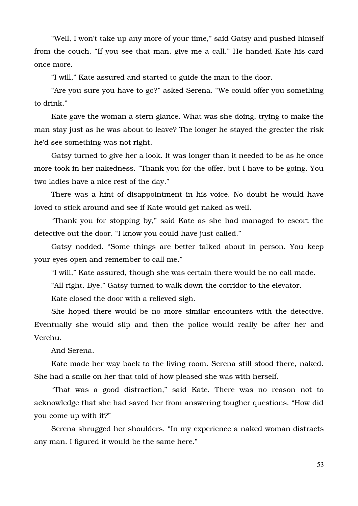"Well, I won't take up any more of your time," said Gatsy and pushed himself from the couch. "If you see that man, give me a call." He handed Kate his card once more.

"I will," Kate assured and started to guide the man to the door.

"Are you sure you have to go?" asked Serena. "We could offer you something to drink."

Kate gave the woman a stern glance. What was she doing, trying to make the man stay just as he was about to leave? The longer he stayed the greater the risk he'd see something was not right.

Gatsy turned to give her a look. It was longer than it needed to be as he once more took in her nakedness. "Thank you for the offer, but I have to be going. You two ladies have a nice rest of the day."

There was a hint of disappointment in his voice. No doubt he would have loved to stick around and see if Kate would get naked as well.

"Thank you for stopping by," said Kate as she had managed to escort the detective out the door. "I know you could have just called."

Gatsy nodded. "Some things are better talked about in person. You keep your eyes open and remember to call me."

"I will," Kate assured, though she was certain there would be no call made.

"All right. Bye." Gatsy turned to walk down the corridor to the elevator.

Kate closed the door with a relieved sigh.

She hoped there would be no more similar encounters with the detective. Eventually she would slip and then the police would really be after her and Verehu.

And Serena.

Kate made her way back to the living room. Serena still stood there, naked. She had a smile on her that told of how pleased she was with herself.

"That was a good distraction," said Kate. There was no reason not to acknowledge that she had saved her from answering tougher questions. "How did you come up with it?"

Serena shrugged her shoulders. "In my experience a naked woman distracts any man. I figured it would be the same here."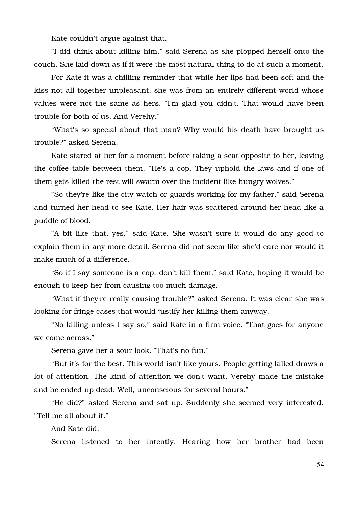Kate couldn't argue against that.

"I did think about killing him," said Serena as she plopped herself onto the couch. She laid down as if it were the most natural thing to do at such a moment.

For Kate it was a chilling reminder that while her lips had been soft and the kiss not all together unpleasant, she was from an entirely different world whose values were not the same as hers. "I'm glad you didn't. That would have been trouble for both of us. And Verehy."

"What's so special about that man? Why would his death have brought us trouble?" asked Serena.

Kate stared at her for a moment before taking a seat opposite to her, leaving the coffee table between them. "He's a cop. They uphold the laws and if one of them gets killed the rest will swarm over the incident like hungry wolves."

"So they're like the city watch or guards working for my father," said Serena and turned her head to see Kate. Her hair was scattered around her head like a puddle of blood.

"A bit like that, yes," said Kate. She wasn't sure it would do any good to explain them in any more detail. Serena did not seem like she'd care nor would it make much of a difference.

"So if I say someone is a cop, don't kill them," said Kate, hoping it would be enough to keep her from causing too much damage.

"What if they're really causing trouble?" asked Serena. It was clear she was looking for fringe cases that would justify her killing them anyway.

"No killing unless I say so," said Kate in a firm voice. "That goes for anyone we come across."

Serena gave her a sour look. "That's no fun."

"But it's for the best. This world isn't like yours. People getting killed draws a lot of attention. The kind of attention we don't want. Verehy made the mistake and he ended up dead. Well, unconscious for several hours."

"He did?" asked Serena and sat up. Suddenly she seemed very interested. "Tell me all about it."

And Kate did.

Serena listened to her intently. Hearing how her brother had been